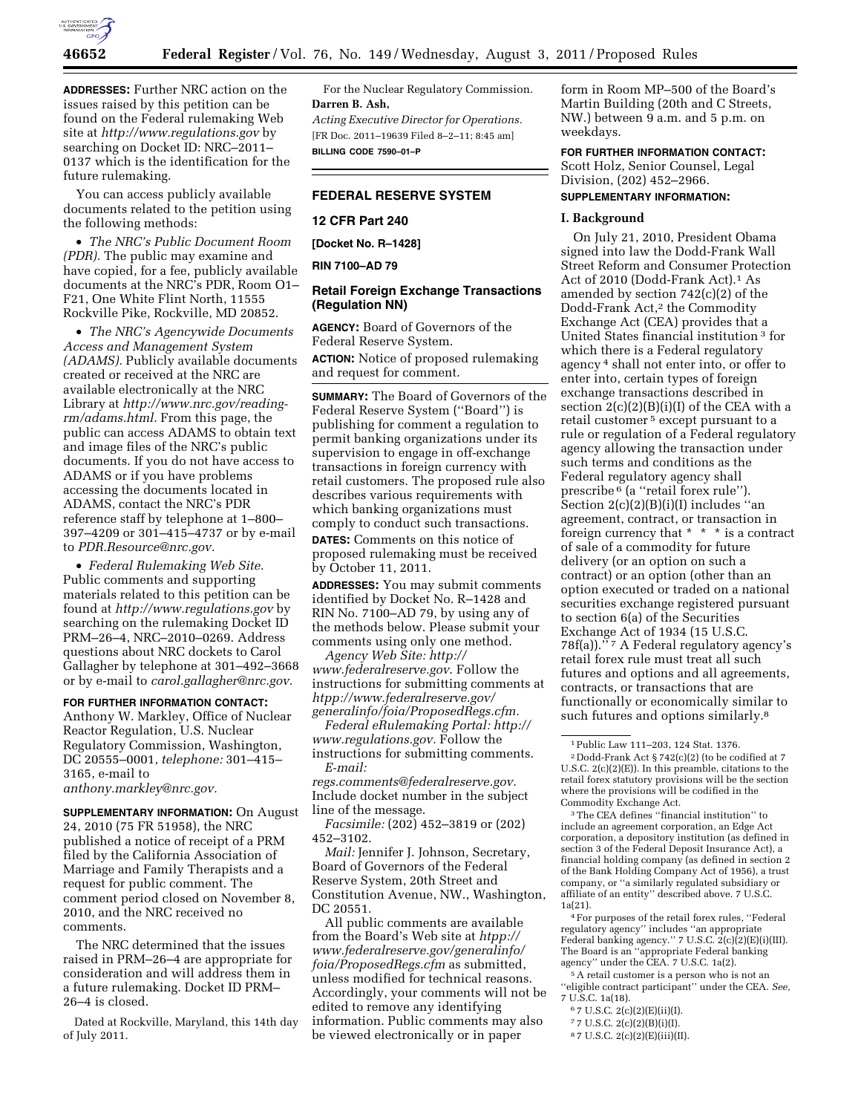

**ADDRESSES:** Further NRC action on the issues raised by this petition can be found on the Federal rulemaking Web site at *<http://www.regulations.gov>* by searching on Docket ID: NRC–2011– 0137 which is the identification for the future rulemaking.

You can access publicly available documents related to the petition using the following methods:

• *The NRC's Public Document Room (PDR).* The public may examine and have copied, for a fee, publicly available documents at the NRC's PDR, Room O1– F21, One White Flint North, 11555 Rockville Pike, Rockville, MD 20852.

• *The NRC's Agencywide Documents Access and Management System (ADAMS).* Publicly available documents created or received at the NRC are available electronically at the NRC Library at *[http://www.nrc.gov/reading](http://www.nrc.gov/reading-rm/adams.html)[rm/adams.html.](http://www.nrc.gov/reading-rm/adams.html)* From this page, the public can access ADAMS to obtain text and image files of the NRC's public documents. If you do not have access to ADAMS or if you have problems accessing the documents located in ADAMS, contact the NRC's PDR reference staff by telephone at 1–800– 397–4209 or 301–415–4737 or by e-mail to *[PDR.Resource@nrc.gov.](mailto:PDR.Resource@nrc.gov)* 

• *Federal Rulemaking Web Site.*  Public comments and supporting materials related to this petition can be found at *<http://www.regulations.gov>* by searching on the rulemaking Docket ID PRM–26–4, NRC–2010–0269. Address questions about NRC dockets to Carol Gallagher by telephone at 301–492–3668 or by e-mail to *[carol.gallagher@nrc.gov.](mailto:carol.gallagher@nrc.gov)* 

### **FOR FURTHER INFORMATION CONTACT:**

Anthony W. Markley, Office of Nuclear Reactor Regulation, U.S. Nuclear Regulatory Commission, Washington, DC 20555–0001, *telephone:* 301–415– 3165, e-mail to

*[anthony.markley@nrc.gov.](mailto:anthony.markley@nrc.gov)* 

**SUPPLEMENTARY INFORMATION:** On August 24, 2010 (75 FR 51958), the NRC published a notice of receipt of a PRM filed by the California Association of Marriage and Family Therapists and a request for public comment. The comment period closed on November 8, 2010, and the NRC received no comments.

The NRC determined that the issues raised in PRM–26–4 are appropriate for consideration and will address them in a future rulemaking. Docket ID PRM– 26–4 is closed.

Dated at Rockville, Maryland, this 14th day of July 2011.

For the Nuclear Regulatory Commission. **Darren B. Ash,**  *Acting Executive Director for Operations.*  [FR Doc. 2011–19639 Filed 8–2–11; 8:45 am] **BILLING CODE 7590–01–P** 

# **FEDERAL RESERVE SYSTEM**

### **12 CFR Part 240**

**[Docket No. R–1428]** 

**RIN 7100–AD 79** 

# **Retail Foreign Exchange Transactions (Regulation NN)**

**AGENCY:** Board of Governors of the Federal Reserve System.

**ACTION:** Notice of proposed rulemaking and request for comment.

**SUMMARY:** The Board of Governors of the Federal Reserve System (''Board'') is publishing for comment a regulation to permit banking organizations under its supervision to engage in off-exchange transactions in foreign currency with retail customers. The proposed rule also describes various requirements with which banking organizations must comply to conduct such transactions.

**DATES:** Comments on this notice of proposed rulemaking must be received by October 11, 2011.

**ADDRESSES:** You may submit comments identified by Docket No. R–1428 and RIN No. 7100–AD 79, by using any of the methods below. Please submit your comments using only one method.

*Agency Web Site: [http://](http://www.federalreserve.gov)  [www.federalreserve.gov](http://www.federalreserve.gov)*. Follow the instructions for submitting comments at *[htpp://www.federalreserve.gov/](http://www.federalreserve.gov/generalinfo/foia/ProposedRegs.cfm) [generalinfo/foia/ProposedRegs.cfm.](http://www.federalreserve.gov/generalinfo/foia/ProposedRegs.cfm)* 

*Federal eRulemaking Portal: [http://](http://www.regulations.gov)  [www.regulations.gov.](http://www.regulations.gov)* Follow the instructions for submitting comments. *E-mail:* 

*[regs.comments@federalreserve.gov.](mailto:regs.comments@federalreserve.gov)*  Include docket number in the subject line of the message.

*Facsimile:* (202) 452–3819 or (202) 452–3102.

*Mail:* Jennifer J. Johnson, Secretary, Board of Governors of the Federal Reserve System, 20th Street and Constitution Avenue, NW., Washington, DC 20551.

All public comments are available from the Board's Web site at *[htpp://](http://www.federalreserve.gov/generalinfo/foia/ProposedRegs.cfm)  [www.federalreserve.gov/generalinfo/](http://www.federalreserve.gov/generalinfo/foia/ProposedRegs.cfm) [foia/ProposedRegs.cfm](http://www.federalreserve.gov/generalinfo/foia/ProposedRegs.cfm)* as submitted, unless modified for technical reasons. Accordingly, your comments will not be edited to remove any identifying information. Public comments may also be viewed electronically or in paper

form in Room MP–500 of the Board's Martin Building (20th and C Streets, NW.) between 9 a.m. and 5 p.m. on weekdays.

**FOR FURTHER INFORMATION CONTACT:**  Scott Holz, Senior Counsel, Legal Division, (202) 452–2966.

## **SUPPLEMENTARY INFORMATION:**

### **I. Background**

On July 21, 2010, President Obama signed into law the Dodd-Frank Wall Street Reform and Consumer Protection Act of 2010 (Dodd-Frank Act).1 As amended by section 742(c)(2) of the Dodd-Frank Act,<sup>2</sup> the Commodity Exchange Act (CEA) provides that a United States financial institution 3 for which there is a Federal regulatory agency 4 shall not enter into, or offer to enter into, certain types of foreign exchange transactions described in section  $2(c)(2)(B)(i)(I)$  of the CEA with a retail customer 5 except pursuant to a rule or regulation of a Federal regulatory agency allowing the transaction under such terms and conditions as the Federal regulatory agency shall prescribe 6 (a ''retail forex rule''). Section  $2(c)(2)(B)(i)(I)$  includes "an agreement, contract, or transaction in foreign currency that \* \* \* is a contract of sale of a commodity for future delivery (or an option on such a contract) or an option (other than an option executed or traded on a national securities exchange registered pursuant to section 6(a) of the Securities Exchange Act of 1934 (15 U.S.C. 78f(a)).'' 7 A Federal regulatory agency's retail forex rule must treat all such futures and options and all agreements, contracts, or transactions that are functionally or economically similar to such futures and options similarly.<sup>8</sup>

3The CEA defines ''financial institution'' to include an agreement corporation, an Edge Act corporation, a depository institution (as defined in section 3 of the Federal Deposit Insurance Act), a financial holding company (as defined in section 2 of the Bank Holding Company Act of 1956), a trust company, or ''a similarly regulated subsidiary or affiliate of an entity'' described above. 7 U.S.C. 1a(21).

4For purposes of the retail forex rules, ''Federal regulatory agency'' includes ''an appropriate Federal banking agency." 7 U.S.C. 2(c)(2)(E)(i)(III). The Board is an ''appropriate Federal banking agency'' under the CEA. 7 U.S.C. 1a(2).

5A retail customer is a person who is not an ''eligible contract participant'' under the CEA. *See,*  7 U.S.C. 1a(18).

- $67 \text{ U.S.C. } 2(c)(2)(E)(ii)(I).$
- 7 7 U.S.C. 2(c)(2)(B)(i)(I).

<sup>1</sup>Public Law 111–203, 124 Stat. 1376.

<sup>2</sup> Dodd-Frank Act § 742(c)(2) (to be codified at 7 U.S.C. 2(c)(2)(E)). In this preamble, citations to the retail forex statutory provisions will be the section where the provisions will be codified in the Commodity Exchange Act.

<sup>8</sup> 7 U.S.C. 2(c)(2)(E)(iii)(II).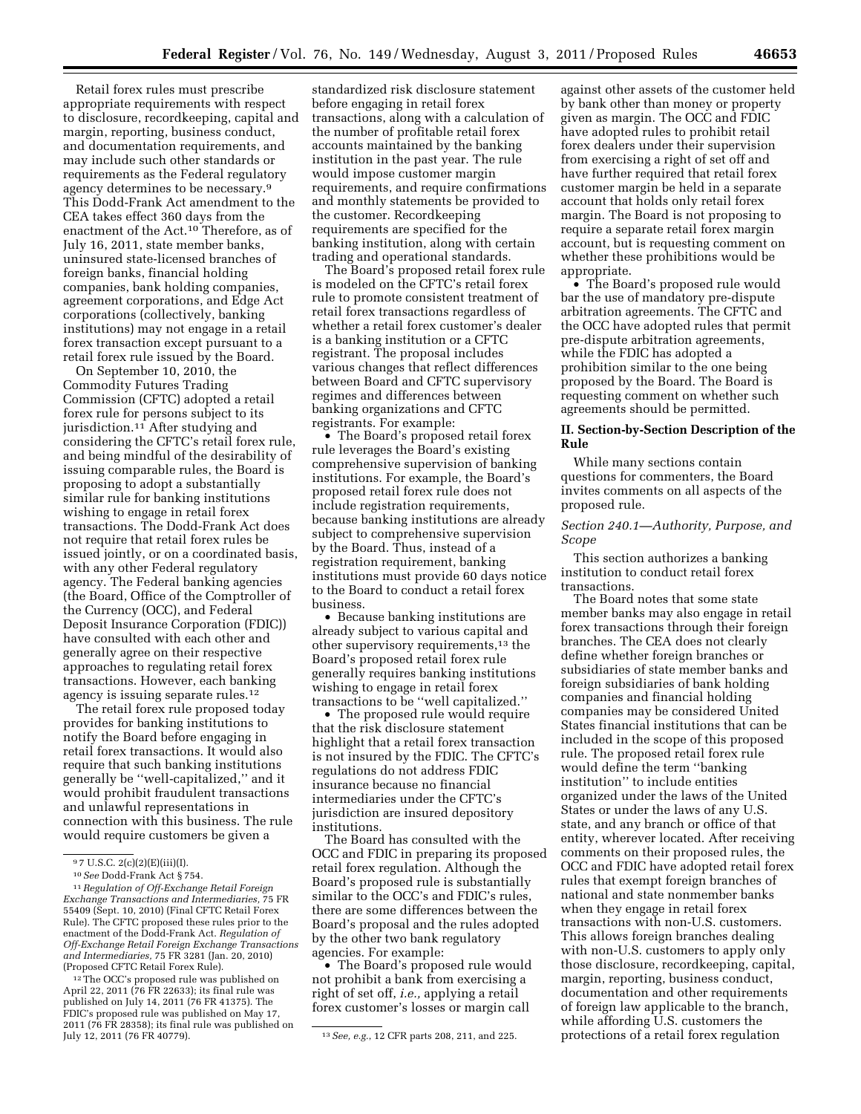Retail forex rules must prescribe appropriate requirements with respect to disclosure, recordkeeping, capital and margin, reporting, business conduct, and documentation requirements, and may include such other standards or requirements as the Federal regulatory agency determines to be necessary.9 This Dodd-Frank Act amendment to the CEA takes effect 360 days from the enactment of the Act.10 Therefore, as of July 16, 2011, state member banks, uninsured state-licensed branches of foreign banks, financial holding companies, bank holding companies, agreement corporations, and Edge Act corporations (collectively, banking institutions) may not engage in a retail forex transaction except pursuant to a retail forex rule issued by the Board.

On September 10, 2010, the Commodity Futures Trading Commission (CFTC) adopted a retail forex rule for persons subject to its jurisdiction.<sup>11</sup> After studying and considering the CFTC's retail forex rule, and being mindful of the desirability of issuing comparable rules, the Board is proposing to adopt a substantially similar rule for banking institutions wishing to engage in retail forex transactions. The Dodd-Frank Act does not require that retail forex rules be issued jointly, or on a coordinated basis, with any other Federal regulatory agency. The Federal banking agencies (the Board, Office of the Comptroller of the Currency (OCC), and Federal Deposit Insurance Corporation (FDIC)) have consulted with each other and generally agree on their respective approaches to regulating retail forex transactions. However, each banking agency is issuing separate rules.12

The retail forex rule proposed today provides for banking institutions to notify the Board before engaging in retail forex transactions. It would also require that such banking institutions generally be ''well-capitalized,'' and it would prohibit fraudulent transactions and unlawful representations in connection with this business. The rule would require customers be given a

<sup>12</sup>The OCC's proposed rule was published on April 22, 2011 (76 FR 22633); its final rule was published on July 14, 2011 (76 FR 41375). The FDIC's proposed rule was published on May 17, 2011 (76 FR 28358); its final rule was published on

standardized risk disclosure statement before engaging in retail forex transactions, along with a calculation of the number of profitable retail forex accounts maintained by the banking institution in the past year. The rule would impose customer margin requirements, and require confirmations and monthly statements be provided to the customer. Recordkeeping requirements are specified for the banking institution, along with certain trading and operational standards.

The Board's proposed retail forex rule is modeled on the CFTC's retail forex rule to promote consistent treatment of retail forex transactions regardless of whether a retail forex customer's dealer is a banking institution or a CFTC registrant. The proposal includes various changes that reflect differences between Board and CFTC supervisory regimes and differences between banking organizations and CFTC registrants. For example:

• The Board's proposed retail forex rule leverages the Board's existing comprehensive supervision of banking institutions. For example, the Board's proposed retail forex rule does not include registration requirements, because banking institutions are already subject to comprehensive supervision by the Board. Thus, instead of a registration requirement, banking institutions must provide 60 days notice to the Board to conduct a retail forex business.

• Because banking institutions are already subject to various capital and other supervisory requirements,13 the Board's proposed retail forex rule generally requires banking institutions wishing to engage in retail forex transactions to be ''well capitalized.''

• The proposed rule would require that the risk disclosure statement highlight that a retail forex transaction is not insured by the FDIC. The CFTC's regulations do not address FDIC insurance because no financial intermediaries under the CFTC's jurisdiction are insured depository institutions.

The Board has consulted with the OCC and FDIC in preparing its proposed retail forex regulation. Although the Board's proposed rule is substantially similar to the OCC's and FDIC's rules, there are some differences between the Board's proposal and the rules adopted by the other two bank regulatory agencies. For example:

• The Board's proposed rule would not prohibit a bank from exercising a right of set off, *i.e.,* applying a retail forex customer's losses or margin call

against other assets of the customer held by bank other than money or property given as margin. The OCC and FDIC have adopted rules to prohibit retail forex dealers under their supervision from exercising a right of set off and have further required that retail forex customer margin be held in a separate account that holds only retail forex margin. The Board is not proposing to require a separate retail forex margin account, but is requesting comment on whether these prohibitions would be appropriate.

• The Board's proposed rule would bar the use of mandatory pre-dispute arbitration agreements. The CFTC and the OCC have adopted rules that permit pre-dispute arbitration agreements, while the FDIC has adopted a prohibition similar to the one being proposed by the Board. The Board is requesting comment on whether such agreements should be permitted.

# **II. Section-by-Section Description of the Rule**

While many sections contain questions for commenters, the Board invites comments on all aspects of the proposed rule.

# *Section 240.1—Authority, Purpose, and Scope*

This section authorizes a banking institution to conduct retail forex transactions.

The Board notes that some state member banks may also engage in retail forex transactions through their foreign branches. The CEA does not clearly define whether foreign branches or subsidiaries of state member banks and foreign subsidiaries of bank holding companies and financial holding companies may be considered United States financial institutions that can be included in the scope of this proposed rule. The proposed retail forex rule would define the term ''banking institution'' to include entities organized under the laws of the United States or under the laws of any U.S. state, and any branch or office of that entity, wherever located. After receiving comments on their proposed rules, the OCC and FDIC have adopted retail forex rules that exempt foreign branches of national and state nonmember banks when they engage in retail forex transactions with non-U.S. customers. This allows foreign branches dealing with non-U.S. customers to apply only those disclosure, recordkeeping, capital, margin, reporting, business conduct, documentation and other requirements of foreign law applicable to the branch, while affording U.S. customers the protections of a retail forex regulation

<sup>9</sup> 7 U.S.C. 2(c)(2)(E)(iii)(I).

<sup>10</sup>*See* Dodd-Frank Act § 754.

<sup>11</sup>*Regulation of Off-Exchange Retail Foreign Exchange Transactions and Intermediaries,* 75 FR 55409 (Sept. 10, 2010) (Final CFTC Retail Forex Rule). The CFTC proposed these rules prior to the enactment of the Dodd-Frank Act. *Regulation of Off-Exchange Retail Foreign Exchange Transactions and Intermediaries,* 75 FR 3281 (Jan. 20, 2010) (Proposed CFTC Retail Forex Rule).

<sup>&</sup>lt;sup>13</sup> See, e.g., 12 CFR parts 208, 211, and 225.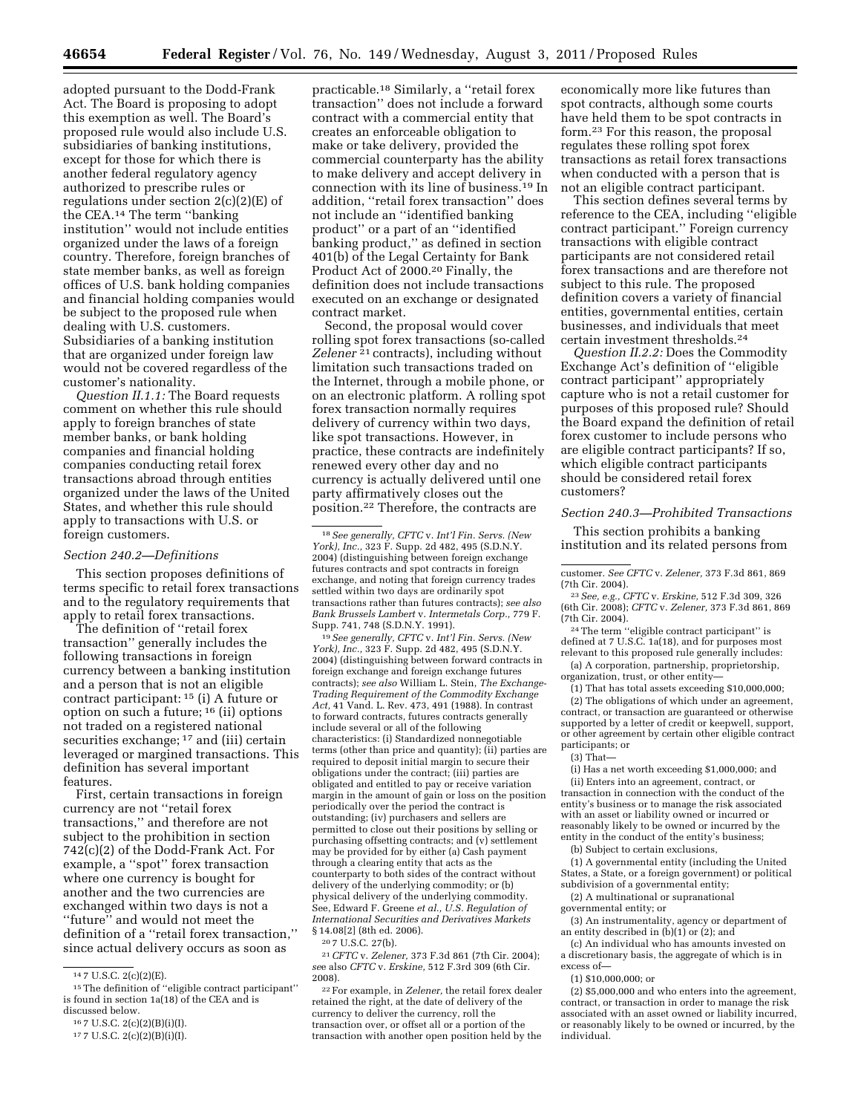adopted pursuant to the Dodd-Frank Act. The Board is proposing to adopt this exemption as well. The Board's proposed rule would also include U.S. subsidiaries of banking institutions, except for those for which there is another federal regulatory agency authorized to prescribe rules or regulations under section  $2(c)(2)(E)$  of the CEA.14 The term ''banking institution'' would not include entities organized under the laws of a foreign country. Therefore, foreign branches of state member banks, as well as foreign offices of U.S. bank holding companies and financial holding companies would be subject to the proposed rule when dealing with U.S. customers. Subsidiaries of a banking institution that are organized under foreign law would not be covered regardless of the customer's nationality.

*Question II.1.1:* The Board requests comment on whether this rule should apply to foreign branches of state member banks, or bank holding companies and financial holding companies conducting retail forex transactions abroad through entities organized under the laws of the United States, and whether this rule should apply to transactions with U.S. or foreign customers.

### *Section 240.2—Definitions*

This section proposes definitions of terms specific to retail forex transactions and to the regulatory requirements that apply to retail forex transactions.

The definition of ''retail forex transaction'' generally includes the following transactions in foreign currency between a banking institution and a person that is not an eligible contract participant: 15 (i) A future or option on such a future; 16 (ii) options not traded on a registered national securities exchange; <sup>17</sup> and (iii) certain leveraged or margined transactions. This definition has several important features.

First, certain transactions in foreign currency are not ''retail forex transactions,'' and therefore are not subject to the prohibition in section 742(c)(2) of the Dodd-Frank Act. For example, a ''spot'' forex transaction where one currency is bought for another and the two currencies are exchanged within two days is not a "future" and would not meet the definition of a ''retail forex transaction,'' since actual delivery occurs as soon as

practicable.18 Similarly, a ''retail forex transaction'' does not include a forward contract with a commercial entity that creates an enforceable obligation to make or take delivery, provided the commercial counterparty has the ability to make delivery and accept delivery in connection with its line of business.19 In addition, ''retail forex transaction'' does not include an ''identified banking product'' or a part of an ''identified banking product,'' as defined in section 401(b) of the Legal Certainty for Bank Product Act of 2000.20 Finally, the definition does not include transactions executed on an exchange or designated contract market.

Second, the proposal would cover rolling spot forex transactions (so-called *Zelener* 21 contracts), including without limitation such transactions traded on the Internet, through a mobile phone, or on an electronic platform. A rolling spot forex transaction normally requires delivery of currency within two days, like spot transactions. However, in practice, these contracts are indefinitely renewed every other day and no currency is actually delivered until one party affirmatively closes out the position.22 Therefore, the contracts are

19*See generally, CFTC* v. *Int'l Fin. Servs. (New York), Inc.,* 323 F. Supp. 2d 482, 495 (S.D.N.Y. 2004) (distinguishing between forward contracts in foreign exchange and foreign exchange futures contracts); *see also* William L. Stein, *The Exchange-Trading Requirement of the Commodity Exchange Act,* 41 Vand. L. Rev. 473, 491 (1988). In contrast to forward contracts, futures contracts generally include several or all of the following characteristics: (i) Standardized nonnegotiable terms (other than price and quantity); (ii) parties are required to deposit initial margin to secure their obligations under the contract; (iii) parties are obligated and entitled to pay or receive variation margin in the amount of gain or loss on the position periodically over the period the contract is outstanding; (iv) purchasers and sellers are permitted to close out their positions by selling or purchasing offsetting contracts; and (v) settlement may be provided for by either (a) Cash payment through a clearing entity that acts as the counterparty to both sides of the contract without delivery of the underlying commodity; or (b) physical delivery of the underlying commodity. See, Edward F. Greene *et al., U.S. Regulation of International Securities and Derivatives Markets*  § 14.08[2] (8th ed. 2006).

21*CFTC* v. *Zelener,* 373 F.3d 861 (7th Cir. 2004); *se*e also *CFTC* v. *Erskine,* 512 F.3rd 309 (6th Cir. 2008).

22For example, in *Zelener,* the retail forex dealer retained the right, at the date of delivery of the currency to deliver the currency, roll the transaction over, or offset all or a portion of the transaction with another open position held by the

economically more like futures than spot contracts, although some courts have held them to be spot contracts in form.23 For this reason, the proposal regulates these rolling spot forex transactions as retail forex transactions when conducted with a person that is not an eligible contract participant.

This section defines several terms by reference to the CEA, including ''eligible contract participant.'' Foreign currency transactions with eligible contract participants are not considered retail forex transactions and are therefore not subject to this rule. The proposed definition covers a variety of financial entities, governmental entities, certain businesses, and individuals that meet certain investment thresholds.24

*Question II.2.2:* Does the Commodity Exchange Act's definition of ''eligible contract participant'' appropriately capture who is not a retail customer for purposes of this proposed rule? Should the Board expand the definition of retail forex customer to include persons who are eligible contract participants? If so, which eligible contract participants should be considered retail forex customers?

## *Section 240.3—Prohibited Transactions*

This section prohibits a banking institution and its related persons from

<sup>24</sup> The term "eligible contract participant" is defined at 7 U.S.C. 1a(18), and for purposes most relevant to this proposed rule generally includes:

(a) A corporation, partnership, proprietorship, organization, trust, or other entity—

(1) That has total assets exceeding \$10,000,000; (2) The obligations of which under an agreement, contract, or transaction are guaranteed or otherwise supported by a letter of credit or keepwell, support, or other agreement by certain other eligible contract participants; or

(3) That—

(i) Has a net worth exceeding \$1,000,000; and (ii) Enters into an agreement, contract, or transaction in connection with the conduct of the entity's business or to manage the risk associated with an asset or liability owned or incurred or reasonably likely to be owned or incurred by the entity in the conduct of the entity's business;

(b) Subject to certain exclusions,

(1) A governmental entity (including the United States, a State, or a foreign government) or political subdivision of a governmental entity;

(2) A multinational or supranational

governmental entity; or

(3) An instrumentality, agency or department of an entity described in  $(b)(1)$  or  $(2)$ ; and

(c) An individual who has amounts invested on a discretionary basis, the aggregate of which is in excess of—

(1) \$10,000,000; or

<sup>14</sup> 7 U.S.C. 2(c)(2)(E).

<sup>15</sup>The definition of ''eligible contract participant'' is found in section 1a(18) of the CEA and is discussed below.

<sup>16</sup> 7 U.S.C. 2(c)(2)(B)(i)(I).

<sup>17</sup> 7 U.S.C. 2(c)(2)(B)(i)(I).

<sup>18</sup>*See generally, CFTC* v. *Int'l Fin. Servs. (New York), Inc.,* 323 F. Supp. 2d 482, 495 (S.D.N.Y. 2004) (distinguishing between foreign exchange futures contracts and spot contracts in foreign exchange, and noting that foreign currency trades settled within two days are ordinarily spot transactions rather than futures contracts); *see also Bank Brussels Lambert* v. *Intermetals Corp.,* 779 F. Supp. 741, 748 (S.D.N.Y. 1991).

<sup>20</sup> 7 U.S.C. 27(b).

customer. *See CFTC* v. *Zelener,* 373 F.3d 861, 869

<sup>(7</sup>th Cir. 2004). 23*See, e.g., CFTC* v. *Erskine,* 512 F.3d 309, 326 (6th Cir. 2008); *CFTC* v. *Zelener,* 373 F.3d 861, 869

<sup>(2) \$5,000,000</sup> and who enters into the agreement, contract, or transaction in order to manage the risk associated with an asset owned or liability incurred, or reasonably likely to be owned or incurred, by the individual.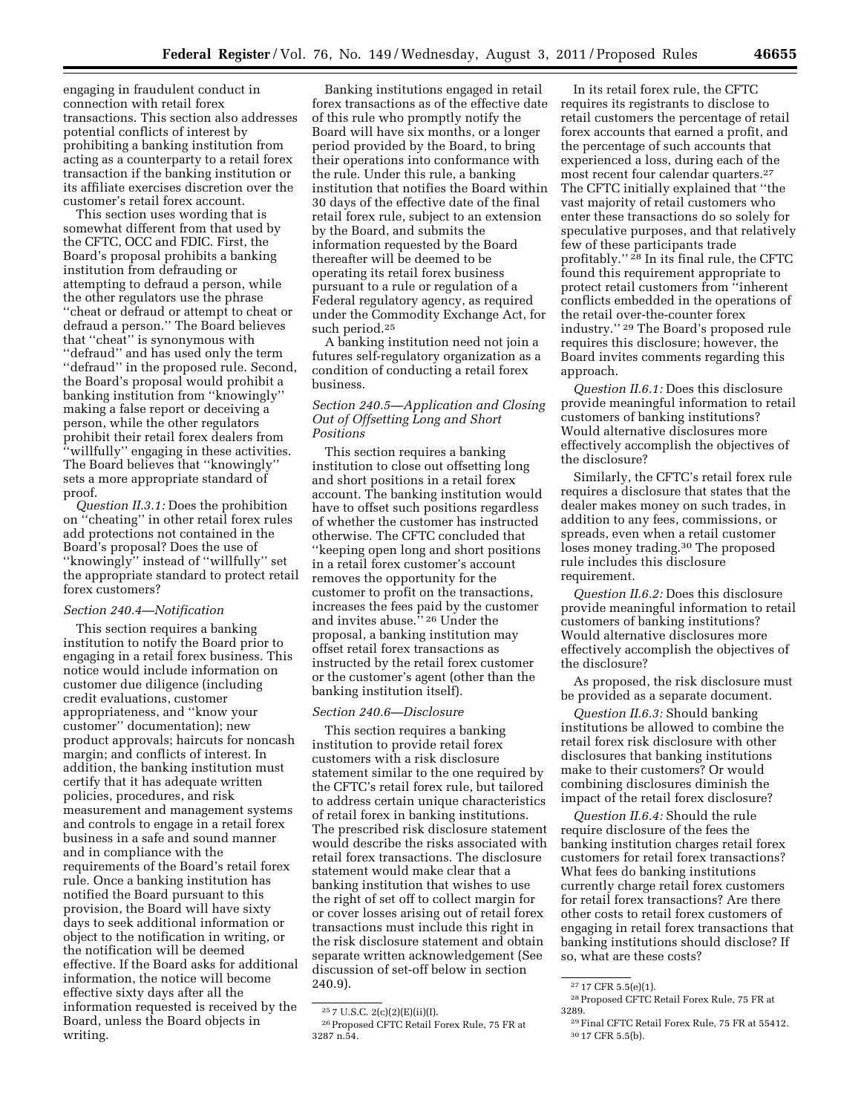engaging in fraudulent conduct in connection with retail forex transactions. This section also addresses potential conflicts of interest by prohibiting a banking institution from acting as a counterparty to a retail forex transaction if the banking institution or its affiliate exercises discretion over the customer's retail forex account.

This section uses wording that is somewhat different from that used by the CFTC, OCC and FDIC. First, the Board's proposal prohibits a banking institution from defrauding or attempting to defraud a person, while the other regulators use the phrase ''cheat or defraud or attempt to cheat or defraud a person.'' The Board believes that ''cheat'' is synonymous with ''defraud'' and has used only the term ''defraud'' in the proposed rule. Second, the Board's proposal would prohibit a banking institution from ''knowingly'' making a false report or deceiving a person, while the other regulators prohibit their retail forex dealers from ''willfully'' engaging in these activities. The Board believes that ''knowingly'' sets a more appropriate standard of proof.

*Question II.3.1:* Does the prohibition on ''cheating'' in other retail forex rules add protections not contained in the Board's proposal? Does the use of ''knowingly'' instead of ''willfully'' set the appropriate standard to protect retail forex customers?

# *Section 240.4—Notification*

This section requires a banking institution to notify the Board prior to engaging in a retail forex business. This notice would include information on customer due diligence (including credit evaluations, customer appropriateness, and ''know your customer'' documentation); new product approvals; haircuts for noncash margin; and conflicts of interest. In addition, the banking institution must certify that it has adequate written policies, procedures, and risk measurement and management systems and controls to engage in a retail forex business in a safe and sound manner and in compliance with the requirements of the Board's retail forex rule. Once a banking institution has notified the Board pursuant to this provision, the Board will have sixty days to seek additional information or object to the notification in writing, or the notification will be deemed effective. If the Board asks for additional information, the notice will become effective sixty days after all the information requested is received by the Board, unless the Board objects in writing.

Banking institutions engaged in retail forex transactions as of the effective date of this rule who promptly notify the Board will have six months, or a longer period provided by the Board, to bring their operations into conformance with the rule. Under this rule, a banking institution that notifies the Board within 30 days of the effective date of the final retail forex rule, subject to an extension by the Board, and submits the information requested by the Board thereafter will be deemed to be operating its retail forex business pursuant to a rule or regulation of a Federal regulatory agency, as required under the Commodity Exchange Act, for such period.25

A banking institution need not join a futures self-regulatory organization as a condition of conducting a retail forex business.

# *Section 240.5—Application and Closing Out of Offsetting Long and Short Positions*

This section requires a banking institution to close out offsetting long and short positions in a retail forex account. The banking institution would have to offset such positions regardless of whether the customer has instructed otherwise. The CFTC concluded that ''keeping open long and short positions in a retail forex customer's account removes the opportunity for the customer to profit on the transactions, increases the fees paid by the customer and invites abuse.'' 26 Under the proposal, a banking institution may offset retail forex transactions as instructed by the retail forex customer or the customer's agent (other than the banking institution itself).

### *Section 240.6—Disclosure*

This section requires a banking institution to provide retail forex customers with a risk disclosure statement similar to the one required by the CFTC's retail forex rule, but tailored to address certain unique characteristics of retail forex in banking institutions. The prescribed risk disclosure statement would describe the risks associated with retail forex transactions. The disclosure statement would make clear that a banking institution that wishes to use the right of set off to collect margin for or cover losses arising out of retail forex transactions must include this right in the risk disclosure statement and obtain separate written acknowledgement (See discussion of set-off below in section 240.9).

In its retail forex rule, the CFTC requires its registrants to disclose to retail customers the percentage of retail forex accounts that earned a profit, and the percentage of such accounts that experienced a loss, during each of the most recent four calendar quarters.<sup>27</sup> The CFTC initially explained that ''the vast majority of retail customers who enter these transactions do so solely for speculative purposes, and that relatively few of these participants trade profitably.'' 28 In its final rule, the CFTC found this requirement appropriate to protect retail customers from ''inherent conflicts embedded in the operations of the retail over-the-counter forex industry.'' 29 The Board's proposed rule requires this disclosure; however, the Board invites comments regarding this approach.

*Question II.6.1:* Does this disclosure provide meaningful information to retail customers of banking institutions? Would alternative disclosures more effectively accomplish the objectives of the disclosure?

Similarly, the CFTC's retail forex rule requires a disclosure that states that the dealer makes money on such trades, in addition to any fees, commissions, or spreads, even when a retail customer loses money trading.<sup>30</sup> The proposed rule includes this disclosure requirement.

*Question II.6.2:* Does this disclosure provide meaningful information to retail customers of banking institutions? Would alternative disclosures more effectively accomplish the objectives of the disclosure?

As proposed, the risk disclosure must be provided as a separate document.

*Question II.6.3:* Should banking institutions be allowed to combine the retail forex risk disclosure with other disclosures that banking institutions make to their customers? Or would combining disclosures diminish the impact of the retail forex disclosure?

*Question II.6.4:* Should the rule require disclosure of the fees the banking institution charges retail forex customers for retail forex transactions? What fees do banking institutions currently charge retail forex customers for retail forex transactions? Are there other costs to retail forex customers of engaging in retail forex transactions that banking institutions should disclose? If so, what are these costs?

<sup>25</sup> 7 U.S.C. 2(c)(2)(E)(ii)(I).

 $^{\rm 26}$  Proposed CFTC Retail Forex Rule, 75 FR at 3287 n.54.

<sup>27</sup> 17 CFR 5.5(e)(1).

<sup>28</sup>Proposed CFTC Retail Forex Rule, 75 FR at 3289.

<sup>29</sup>Final CFTC Retail Forex Rule, 75 FR at 55412. 30 17 CFR 5.5(b).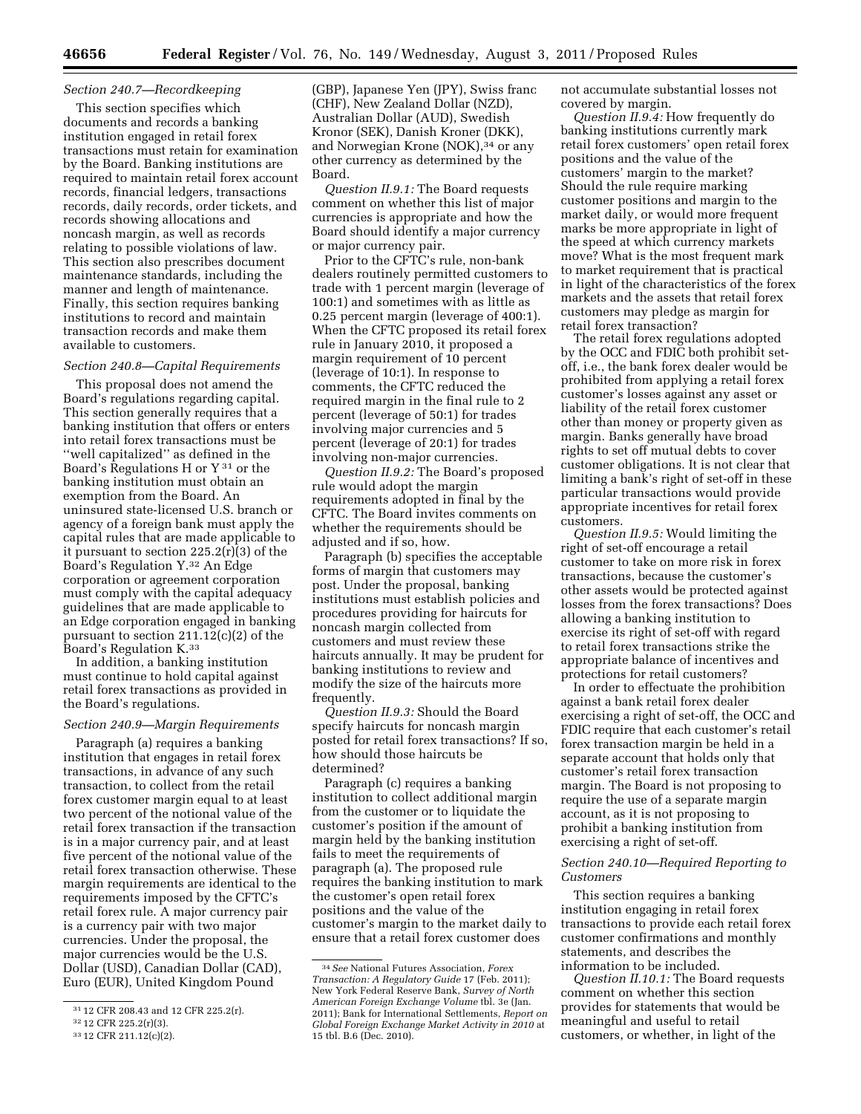### *Section 240.7—Recordkeeping*

This section specifies which documents and records a banking institution engaged in retail forex transactions must retain for examination by the Board. Banking institutions are required to maintain retail forex account records, financial ledgers, transactions records, daily records, order tickets, and records showing allocations and noncash margin, as well as records relating to possible violations of law. This section also prescribes document maintenance standards, including the manner and length of maintenance. Finally, this section requires banking institutions to record and maintain transaction records and make them available to customers.

#### *Section 240.8—Capital Requirements*

This proposal does not amend the Board's regulations regarding capital. This section generally requires that a banking institution that offers or enters into retail forex transactions must be ''well capitalized'' as defined in the Board's Regulations H or  $Y^{31}$  or the banking institution must obtain an exemption from the Board. An uninsured state-licensed U.S. branch or agency of a foreign bank must apply the capital rules that are made applicable to it pursuant to section 225.2(r)(3) of the Board's Regulation Y.32 An Edge corporation or agreement corporation must comply with the capital adequacy guidelines that are made applicable to an Edge corporation engaged in banking pursuant to section 211.12(c)(2) of the Board's Regulation K.33

In addition, a banking institution must continue to hold capital against retail forex transactions as provided in the Board's regulations.

## *Section 240.9—Margin Requirements*

Paragraph (a) requires a banking institution that engages in retail forex transactions, in advance of any such transaction, to collect from the retail forex customer margin equal to at least two percent of the notional value of the retail forex transaction if the transaction is in a major currency pair, and at least five percent of the notional value of the retail forex transaction otherwise. These margin requirements are identical to the requirements imposed by the CFTC's retail forex rule. A major currency pair is a currency pair with two major currencies. Under the proposal, the major currencies would be the U.S. Dollar (USD), Canadian Dollar (CAD), Euro (EUR), United Kingdom Pound

(GBP), Japanese Yen (JPY), Swiss franc (CHF), New Zealand Dollar (NZD), Australian Dollar (AUD), Swedish Kronor (SEK), Danish Kroner (DKK), and Norwegian Krone (NOK),<sup>34</sup> or any other currency as determined by the Board.

*Question II.9.1:* The Board requests comment on whether this list of major currencies is appropriate and how the Board should identify a major currency or major currency pair.

Prior to the CFTC's rule, non-bank dealers routinely permitted customers to trade with 1 percent margin (leverage of 100:1) and sometimes with as little as 0.25 percent margin (leverage of 400:1). When the CFTC proposed its retail forex rule in January 2010, it proposed a margin requirement of 10 percent (leverage of 10:1). In response to comments, the CFTC reduced the required margin in the final rule to 2 percent (leverage of 50:1) for trades involving major currencies and 5 percent (leverage of 20:1) for trades involving non-major currencies.

*Question II.9.2:* The Board's proposed rule would adopt the margin requirements adopted in final by the CFTC. The Board invites comments on whether the requirements should be adjusted and if so, how.

Paragraph (b) specifies the acceptable forms of margin that customers may post. Under the proposal, banking institutions must establish policies and procedures providing for haircuts for noncash margin collected from customers and must review these haircuts annually. It may be prudent for banking institutions to review and modify the size of the haircuts more frequently.

*Question II.9.3:* Should the Board specify haircuts for noncash margin posted for retail forex transactions? If so, how should those haircuts be determined?

Paragraph (c) requires a banking institution to collect additional margin from the customer or to liquidate the customer's position if the amount of margin held by the banking institution fails to meet the requirements of paragraph (a). The proposed rule requires the banking institution to mark the customer's open retail forex positions and the value of the customer's margin to the market daily to ensure that a retail forex customer does

not accumulate substantial losses not covered by margin.

*Question II.9.4:* How frequently do banking institutions currently mark retail forex customers' open retail forex positions and the value of the customers' margin to the market? Should the rule require marking customer positions and margin to the market daily, or would more frequent marks be more appropriate in light of the speed at which currency markets move? What is the most frequent mark to market requirement that is practical in light of the characteristics of the forex markets and the assets that retail forex customers may pledge as margin for retail forex transaction?

The retail forex regulations adopted by the OCC and FDIC both prohibit setoff, i.e., the bank forex dealer would be prohibited from applying a retail forex customer's losses against any asset or liability of the retail forex customer other than money or property given as margin. Banks generally have broad rights to set off mutual debts to cover customer obligations. It is not clear that limiting a bank's right of set-off in these particular transactions would provide appropriate incentives for retail forex customers.

*Question II.9.5:* Would limiting the right of set-off encourage a retail customer to take on more risk in forex transactions, because the customer's other assets would be protected against losses from the forex transactions? Does allowing a banking institution to exercise its right of set-off with regard to retail forex transactions strike the appropriate balance of incentives and protections for retail customers?

In order to effectuate the prohibition against a bank retail forex dealer exercising a right of set-off, the OCC and FDIC require that each customer's retail forex transaction margin be held in a separate account that holds only that customer's retail forex transaction margin. The Board is not proposing to require the use of a separate margin account, as it is not proposing to prohibit a banking institution from exercising a right of set-off.

### *Section 240.10—Required Reporting to Customers*

This section requires a banking institution engaging in retail forex transactions to provide each retail forex customer confirmations and monthly statements, and describes the information to be included.

*Question II.10.1:* The Board requests comment on whether this section provides for statements that would be meaningful and useful to retail customers, or whether, in light of the

<sup>31</sup> 12 CFR 208.43 and 12 CFR 225.2(r).

<sup>32</sup> 12 CFR 225.2(r)(3).

<sup>33</sup> 12 CFR 211.12(c)(2).

<sup>34</sup>*See* National Futures Association, *Forex Transaction: A Regulatory Guide* 17 (Feb. 2011); New York Federal Reserve Bank, *Survey of North American Foreign Exchange Volume* tbl. 3e (Jan. 2011); Bank for International Settlements, *Report on Global Foreign Exchange Market Activity in 2010* at 15 tbl. B.6 (Dec. 2010).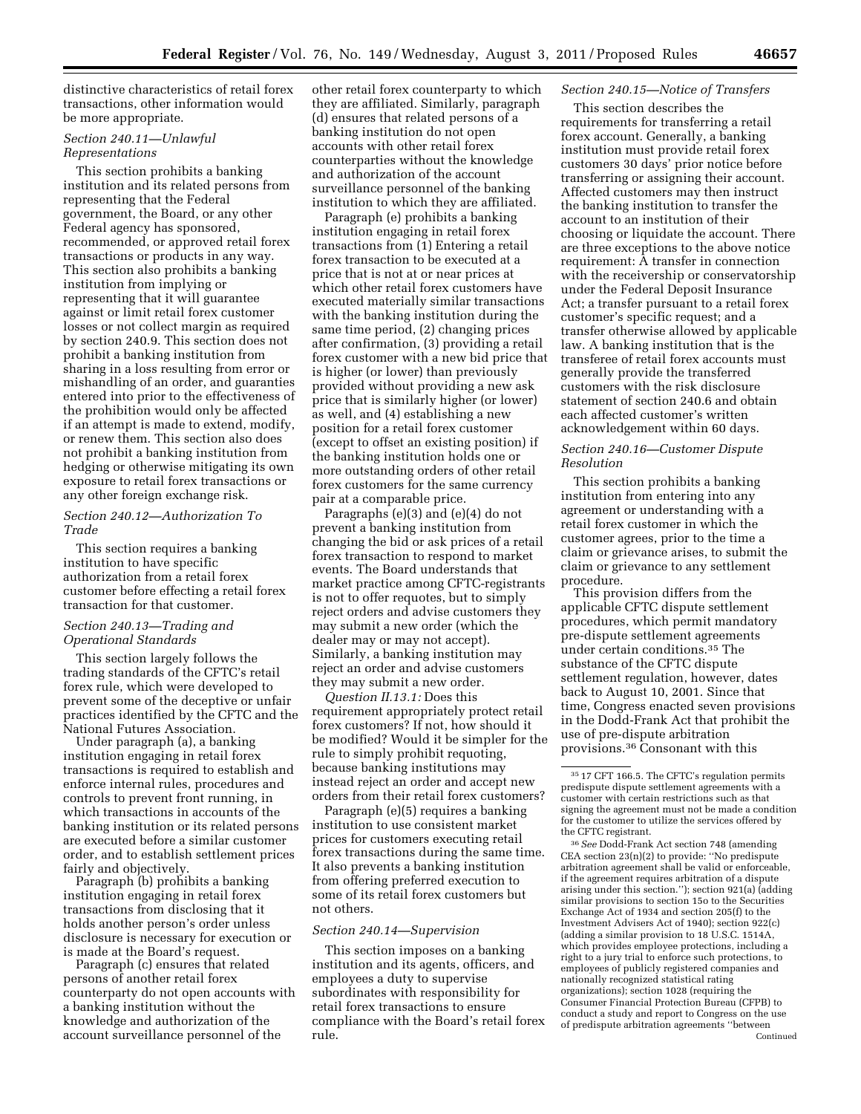distinctive characteristics of retail forex transactions, other information would be more appropriate.

## *Section 240.11—Unlawful Representations*

This section prohibits a banking institution and its related persons from representing that the Federal government, the Board, or any other Federal agency has sponsored, recommended, or approved retail forex transactions or products in any way. This section also prohibits a banking institution from implying or representing that it will guarantee against or limit retail forex customer losses or not collect margin as required by section 240.9. This section does not prohibit a banking institution from sharing in a loss resulting from error or mishandling of an order, and guaranties entered into prior to the effectiveness of the prohibition would only be affected if an attempt is made to extend, modify, or renew them. This section also does not prohibit a banking institution from hedging or otherwise mitigating its own exposure to retail forex transactions or any other foreign exchange risk.

# *Section 240.12—Authorization To Trade*

This section requires a banking institution to have specific authorization from a retail forex customer before effecting a retail forex transaction for that customer.

## *Section 240.13—Trading and Operational Standards*

This section largely follows the trading standards of the CFTC's retail forex rule, which were developed to prevent some of the deceptive or unfair practices identified by the CFTC and the National Futures Association.

Under paragraph (a), a banking institution engaging in retail forex transactions is required to establish and enforce internal rules, procedures and controls to prevent front running, in which transactions in accounts of the banking institution or its related persons are executed before a similar customer order, and to establish settlement prices fairly and objectively.

Paragraph (b) prohibits a banking institution engaging in retail forex transactions from disclosing that it holds another person's order unless disclosure is necessary for execution or is made at the Board's request.

Paragraph (c) ensures that related persons of another retail forex counterparty do not open accounts with a banking institution without the knowledge and authorization of the account surveillance personnel of the

other retail forex counterparty to which they are affiliated. Similarly, paragraph (d) ensures that related persons of a banking institution do not open accounts with other retail forex counterparties without the knowledge and authorization of the account surveillance personnel of the banking institution to which they are affiliated.

Paragraph (e) prohibits a banking institution engaging in retail forex transactions from (1) Entering a retail forex transaction to be executed at a price that is not at or near prices at which other retail forex customers have executed materially similar transactions with the banking institution during the same time period, (2) changing prices after confirmation, (3) providing a retail forex customer with a new bid price that is higher (or lower) than previously provided without providing a new ask price that is similarly higher (or lower) as well, and (4) establishing a new position for a retail forex customer (except to offset an existing position) if the banking institution holds one or more outstanding orders of other retail forex customers for the same currency pair at a comparable price.

Paragraphs (e)(3) and (e)(4) do not prevent a banking institution from changing the bid or ask prices of a retail forex transaction to respond to market events. The Board understands that market practice among CFTC-registrants is not to offer requotes, but to simply reject orders and advise customers they may submit a new order (which the dealer may or may not accept). Similarly, a banking institution may reject an order and advise customers they may submit a new order.

*Question II.13.1:* Does this requirement appropriately protect retail forex customers? If not, how should it be modified? Would it be simpler for the rule to simply prohibit requoting, because banking institutions may instead reject an order and accept new orders from their retail forex customers?

Paragraph (e)(5) requires a banking institution to use consistent market prices for customers executing retail forex transactions during the same time. It also prevents a banking institution from offering preferred execution to some of its retail forex customers but not others.

#### *Section 240.14—Supervision*

This section imposes on a banking institution and its agents, officers, and employees a duty to supervise subordinates with responsibility for retail forex transactions to ensure compliance with the Board's retail forex rule.

# *Section 240.15—Notice of Transfers*

This section describes the requirements for transferring a retail forex account. Generally, a banking institution must provide retail forex customers 30 days' prior notice before transferring or assigning their account. Affected customers may then instruct the banking institution to transfer the account to an institution of their choosing or liquidate the account. There are three exceptions to the above notice requirement: A transfer in connection with the receivership or conservatorship under the Federal Deposit Insurance Act; a transfer pursuant to a retail forex customer's specific request; and a transfer otherwise allowed by applicable law. A banking institution that is the transferee of retail forex accounts must generally provide the transferred customers with the risk disclosure statement of section 240.6 and obtain each affected customer's written acknowledgement within 60 days.

# *Section 240.16—Customer Dispute Resolution*

This section prohibits a banking institution from entering into any agreement or understanding with a retail forex customer in which the customer agrees, prior to the time a claim or grievance arises, to submit the claim or grievance to any settlement procedure.

This provision differs from the applicable CFTC dispute settlement procedures, which permit mandatory pre-dispute settlement agreements under certain conditions.35 The substance of the CFTC dispute settlement regulation, however, dates back to August 10, 2001. Since that time, Congress enacted seven provisions in the Dodd-Frank Act that prohibit the use of pre-dispute arbitration provisions.36 Consonant with this

36*See* Dodd-Frank Act section 748 (amending CEA section 23(n)(2) to provide: ''No predispute arbitration agreement shall be valid or enforceable, if the agreement requires arbitration of a dispute arising under this section.''); section 921(a) (adding similar provisions to section 15o to the Securities Exchange Act of 1934 and section 205(f) to the Investment Advisers Act of 1940); section 922(c) (adding a similar provision to 18 U.S.C. 1514A, which provides employee protections, including a right to a jury trial to enforce such protections, to employees of publicly registered companies and nationally recognized statistical rating organizations); section 1028 (requiring the Consumer Financial Protection Bureau (CFPB) to conduct a study and report to Congress on the use of predispute arbitration agreements ''between Continued

<sup>35</sup> 17 CFT 166.5. The CFTC's regulation permits predispute dispute settlement agreements with a customer with certain restrictions such as that signing the agreement must not be made a condition for the customer to utilize the services offered by the CFTC registrant.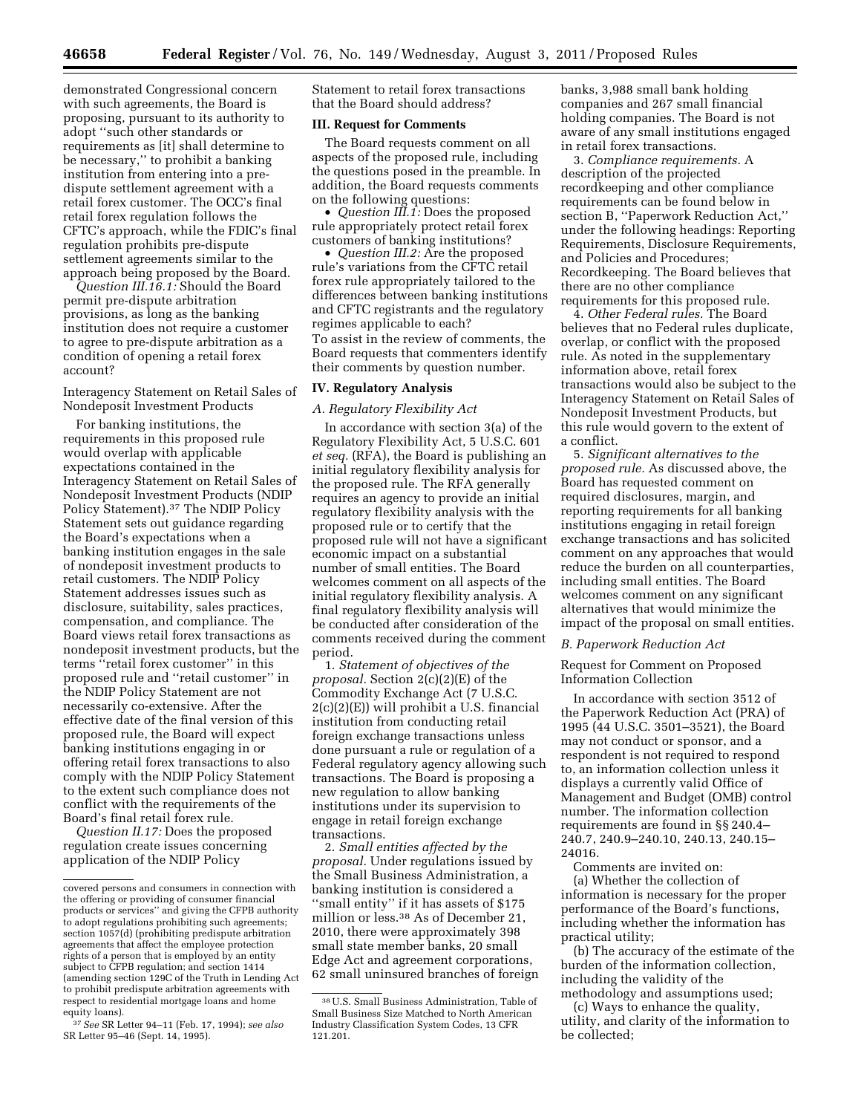demonstrated Congressional concern with such agreements, the Board is proposing, pursuant to its authority to adopt ''such other standards or requirements as [it] shall determine to be necessary,'' to prohibit a banking institution from entering into a predispute settlement agreement with a retail forex customer. The OCC's final retail forex regulation follows the CFTC's approach, while the FDIC's final regulation prohibits pre-dispute settlement agreements similar to the approach being proposed by the Board.

*Question III.16.1:* Should the Board permit pre-dispute arbitration provisions, as long as the banking institution does not require a customer to agree to pre-dispute arbitration as a condition of opening a retail forex account?

Interagency Statement on Retail Sales of Nondeposit Investment Products

For banking institutions, the requirements in this proposed rule would overlap with applicable expectations contained in the Interagency Statement on Retail Sales of Nondeposit Investment Products (NDIP Policy Statement).37 The NDIP Policy Statement sets out guidance regarding the Board's expectations when a banking institution engages in the sale of nondeposit investment products to retail customers. The NDIP Policy Statement addresses issues such as disclosure, suitability, sales practices, compensation, and compliance. The Board views retail forex transactions as nondeposit investment products, but the terms ''retail forex customer'' in this proposed rule and ''retail customer'' in the NDIP Policy Statement are not necessarily co-extensive. After the effective date of the final version of this proposed rule, the Board will expect banking institutions engaging in or offering retail forex transactions to also comply with the NDIP Policy Statement to the extent such compliance does not conflict with the requirements of the Board's final retail forex rule.

*Question II.17:* Does the proposed regulation create issues concerning application of the NDIP Policy

Statement to retail forex transactions that the Board should address?

# **III. Request for Comments**

The Board requests comment on all aspects of the proposed rule, including the questions posed in the preamble. In addition, the Board requests comments on the following questions:

• *Question III.1:* Does the proposed rule appropriately protect retail forex customers of banking institutions?

• *Question III.2:* Are the proposed rule's variations from the CFTC retail forex rule appropriately tailored to the differences between banking institutions and CFTC registrants and the regulatory regimes applicable to each? To assist in the review of comments, the Board requests that commenters identify their comments by question number.

## **IV. Regulatory Analysis**

## *A. Regulatory Flexibility Act*

In accordance with section 3(a) of the Regulatory Flexibility Act, 5 U.S.C. 601 *et seq.* (RFA), the Board is publishing an initial regulatory flexibility analysis for the proposed rule. The RFA generally requires an agency to provide an initial regulatory flexibility analysis with the proposed rule or to certify that the proposed rule will not have a significant economic impact on a substantial number of small entities. The Board welcomes comment on all aspects of the initial regulatory flexibility analysis. A final regulatory flexibility analysis will be conducted after consideration of the comments received during the comment period.

1. *Statement of objectives of the proposal.* Section 2(c)(2)(E) of the Commodity Exchange Act (7 U.S.C. 2(c)(2)(E)) will prohibit a U.S. financial institution from conducting retail foreign exchange transactions unless done pursuant a rule or regulation of a Federal regulatory agency allowing such transactions. The Board is proposing a new regulation to allow banking institutions under its supervision to engage in retail foreign exchange transactions.

2. *Small entities affected by the proposal.* Under regulations issued by the Small Business Administration, a banking institution is considered a "small entity" if it has assets of \$175 million or less.38 As of December 21, 2010, there were approximately 398 small state member banks, 20 small Edge Act and agreement corporations, 62 small uninsured branches of foreign banks, 3,988 small bank holding companies and 267 small financial holding companies. The Board is not aware of any small institutions engaged in retail forex transactions.

3. *Compliance requirements.* A description of the projected recordkeeping and other compliance requirements can be found below in section B, ''Paperwork Reduction Act,'' under the following headings: Reporting Requirements, Disclosure Requirements, and Policies and Procedures; Recordkeeping. The Board believes that there are no other compliance requirements for this proposed rule.

4. *Other Federal rules.* The Board believes that no Federal rules duplicate, overlap, or conflict with the proposed rule. As noted in the supplementary information above, retail forex transactions would also be subject to the Interagency Statement on Retail Sales of Nondeposit Investment Products, but this rule would govern to the extent of a conflict.

5. *Significant alternatives to the proposed rule.* As discussed above, the Board has requested comment on required disclosures, margin, and reporting requirements for all banking institutions engaging in retail foreign exchange transactions and has solicited comment on any approaches that would reduce the burden on all counterparties, including small entities. The Board welcomes comment on any significant alternatives that would minimize the impact of the proposal on small entities.

### *B. Paperwork Reduction Act*

Request for Comment on Proposed Information Collection

In accordance with section 3512 of the Paperwork Reduction Act (PRA) of 1995 (44 U.S.C. 3501–3521), the Board may not conduct or sponsor, and a respondent is not required to respond to, an information collection unless it displays a currently valid Office of Management and Budget (OMB) control number. The information collection requirements are found in §§ 240.4– 240.7, 240.9–240.10, 240.13, 240.15– 24016.

Comments are invited on: (a) Whether the collection of information is necessary for the proper performance of the Board's functions, including whether the information has practical utility;

(b) The accuracy of the estimate of the burden of the information collection, including the validity of the methodology and assumptions used;

(c) Ways to enhance the quality, utility, and clarity of the information to be collected;

covered persons and consumers in connection with the offering or providing of consumer financial products or services'' and giving the CFPB authority to adopt regulations prohibiting such agreements; section 1057(d) (prohibiting predispute arbitration agreements that affect the employee protection rights of a person that is employed by an entity subject to CFPB regulation; and section 1414 (amending section 129C of the Truth in Lending Act to prohibit predispute arbitration agreements with respect to residential mortgage loans and home equity loans).

<sup>37</sup>*See* SR Letter 94–11 (Feb. 17, 1994); *see also*  SR Letter 95–46 (Sept. 14, 1995).

<sup>38</sup>U.S. Small Business Administration, Table of Small Business Size Matched to North American Industry Classification System Codes, 13 CFR 121.201.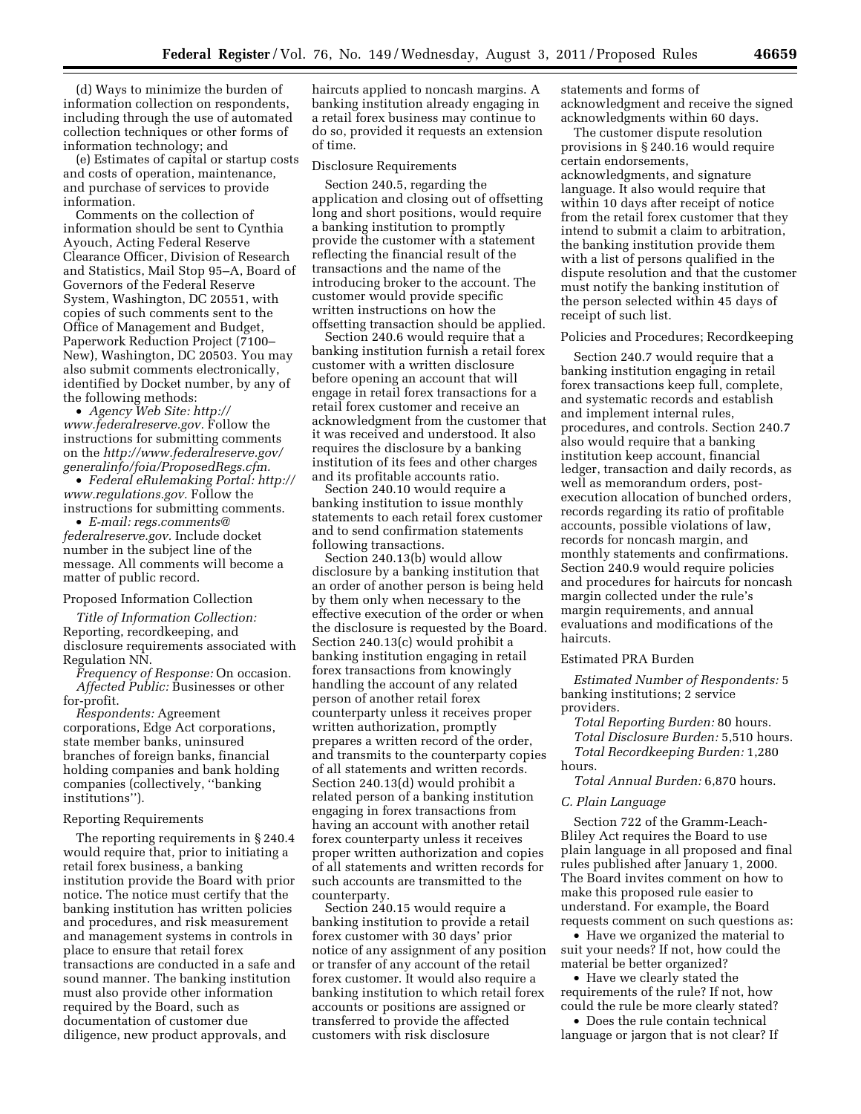(d) Ways to minimize the burden of information collection on respondents, including through the use of automated collection techniques or other forms of information technology; and

(e) Estimates of capital or startup costs and costs of operation, maintenance, and purchase of services to provide information.

Comments on the collection of information should be sent to Cynthia Ayouch, Acting Federal Reserve Clearance Officer, Division of Research and Statistics, Mail Stop 95–A, Board of Governors of the Federal Reserve System, Washington, DC 20551, with copies of such comments sent to the Office of Management and Budget, Paperwork Reduction Project (7100– New), Washington, DC 20503. You may also submit comments electronically, identified by Docket number, by any of the following methods:

• *Agency Web Site: [http://](http://www.federalreserve.gov)  [www.federalreserve.gov.](http://www.federalreserve.gov)* Follow the instructions for submitting comments on the *[http://www.federalreserve.gov/](http://www.federalreserve.gov/generalinfo/foia/ProposedRegs.cfm) [generalinfo/foia/ProposedRegs.cfm.](http://www.federalreserve.gov/generalinfo/foia/ProposedRegs.cfm)* 

• *Federal eRulemaking Portal: [http://](http://www.regulations.gov)  [www.regulations.gov.](http://www.regulations.gov)* Follow the instructions for submitting comments.

• *E-mail: [regs.comments@](mailto:regs.comments@federalreserve.gov) [federalreserve.gov.](mailto:regs.comments@federalreserve.gov)* Include docket number in the subject line of the message. All comments will become a matter of public record.

#### Proposed Information Collection

*Title of Information Collection:*  Reporting, recordkeeping, and disclosure requirements associated with Regulation NN.

*Frequency of Response:* On occasion. *Affected Public:* Businesses or other for-profit.

*Respondents:* Agreement corporations, Edge Act corporations, state member banks, uninsured branches of foreign banks, financial holding companies and bank holding companies (collectively, ''banking institutions'').

### Reporting Requirements

The reporting requirements in § 240.4 would require that, prior to initiating a retail forex business, a banking institution provide the Board with prior notice. The notice must certify that the banking institution has written policies and procedures, and risk measurement and management systems in controls in place to ensure that retail forex transactions are conducted in a safe and sound manner. The banking institution must also provide other information required by the Board, such as documentation of customer due diligence, new product approvals, and

haircuts applied to noncash margins. A banking institution already engaging in a retail forex business may continue to do so, provided it requests an extension of time.

#### Disclosure Requirements

Section 240.5, regarding the application and closing out of offsetting long and short positions, would require a banking institution to promptly provide the customer with a statement reflecting the financial result of the transactions and the name of the introducing broker to the account. The customer would provide specific written instructions on how the offsetting transaction should be applied.

Section 240.6 would require that a banking institution furnish a retail forex customer with a written disclosure before opening an account that will engage in retail forex transactions for a retail forex customer and receive an acknowledgment from the customer that it was received and understood. It also requires the disclosure by a banking institution of its fees and other charges and its profitable accounts ratio.

Section 240.10 would require a banking institution to issue monthly statements to each retail forex customer and to send confirmation statements following transactions.

Section 240.13(b) would allow disclosure by a banking institution that an order of another person is being held by them only when necessary to the effective execution of the order or when the disclosure is requested by the Board. Section 240.13(c) would prohibit a banking institution engaging in retail forex transactions from knowingly handling the account of any related person of another retail forex counterparty unless it receives proper written authorization, promptly prepares a written record of the order, and transmits to the counterparty copies of all statements and written records. Section 240.13(d) would prohibit a related person of a banking institution engaging in forex transactions from having an account with another retail forex counterparty unless it receives proper written authorization and copies of all statements and written records for such accounts are transmitted to the counterparty.

Section 240.15 would require a banking institution to provide a retail forex customer with 30 days' prior notice of any assignment of any position or transfer of any account of the retail forex customer. It would also require a banking institution to which retail forex accounts or positions are assigned or transferred to provide the affected customers with risk disclosure

statements and forms of acknowledgment and receive the signed acknowledgments within 60 days.

The customer dispute resolution provisions in § 240.16 would require certain endorsements, acknowledgments, and signature language. It also would require that within 10 days after receipt of notice from the retail forex customer that they intend to submit a claim to arbitration, the banking institution provide them with a list of persons qualified in the dispute resolution and that the customer must notify the banking institution of the person selected within 45 days of receipt of such list.

#### Policies and Procedures; Recordkeeping

Section 240.7 would require that a banking institution engaging in retail forex transactions keep full, complete, and systematic records and establish and implement internal rules, procedures, and controls. Section 240.7 also would require that a banking institution keep account, financial ledger, transaction and daily records, as well as memorandum orders, postexecution allocation of bunched orders, records regarding its ratio of profitable accounts, possible violations of law, records for noncash margin, and monthly statements and confirmations. Section 240.9 would require policies and procedures for haircuts for noncash margin collected under the rule's margin requirements, and annual evaluations and modifications of the haircuts.

### Estimated PRA Burden

*Estimated Number of Respondents:* 5 banking institutions; 2 service providers.

*Total Reporting Burden:* 80 hours. *Total Disclosure Burden:* 5,510 hours.

*Total Recordkeeping Burden:* 1,280 hours.

*Total Annual Burden:* 6,870 hours.

### *C. Plain Language*

Section 722 of the Gramm-Leach-Bliley Act requires the Board to use plain language in all proposed and final rules published after January 1, 2000. The Board invites comment on how to make this proposed rule easier to understand. For example, the Board requests comment on such questions as:

• Have we organized the material to suit your needs? If not, how could the material be better organized?

• Have we clearly stated the requirements of the rule? If not, how could the rule be more clearly stated?

• Does the rule contain technical language or jargon that is not clear? If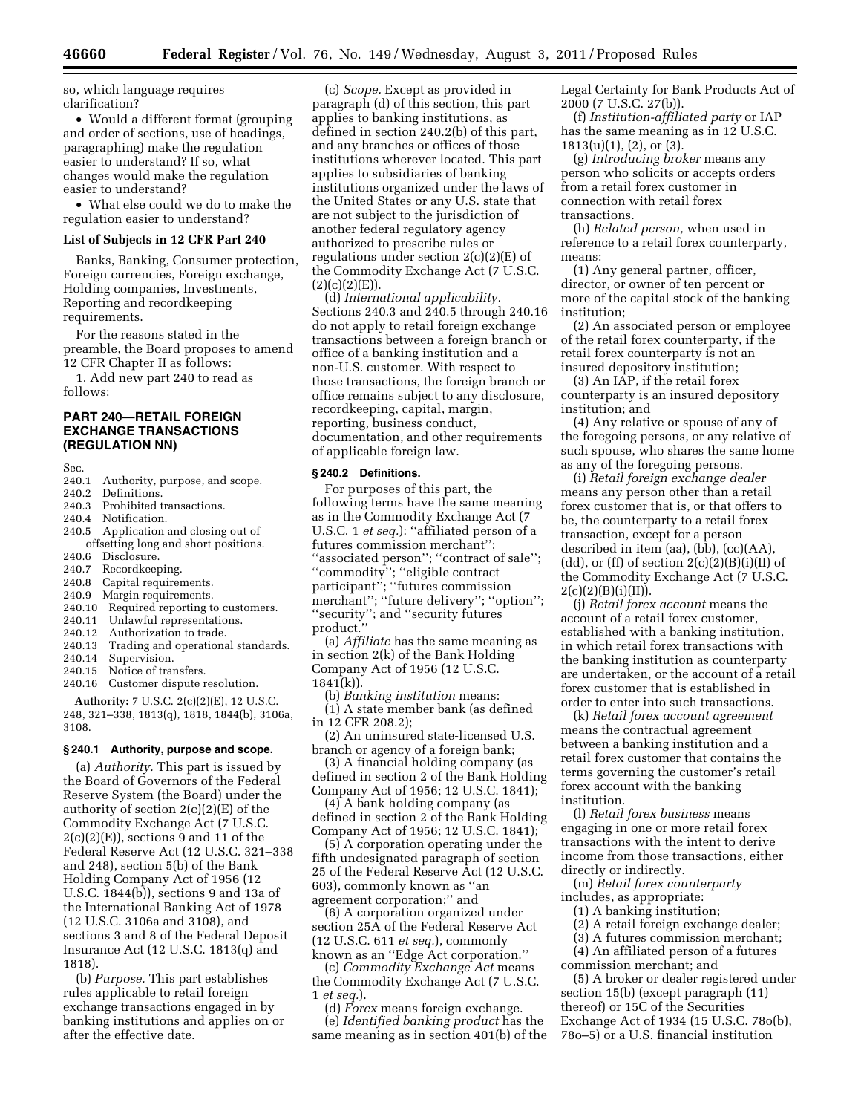so, which language requires clarification?

• Would a different format (grouping and order of sections, use of headings, paragraphing) make the regulation easier to understand? If so, what changes would make the regulation easier to understand?

• What else could we do to make the regulation easier to understand?

#### **List of Subjects in 12 CFR Part 240**

Banks, Banking, Consumer protection, Foreign currencies, Foreign exchange, Holding companies, Investments, Reporting and recordkeeping requirements.

For the reasons stated in the preamble, the Board proposes to amend 12 CFR Chapter II as follows:

1. Add new part 240 to read as follows:

# **PART 240—RETAIL FOREIGN EXCHANGE TRANSACTIONS (REGULATION NN)**

- Sec.<br>240.1 240.1 Authority, purpose, and scope.<br>240.2 Definitions.
- Definitions.
- 240.3 Prohibited transactions.<br>240.4 Notification.
- Notification.
- 240.5 Application and closing out of offsetting long and short positions.<br>240.6 Disclosure.
- 240.6 Disclosure.<br>240.7 Recordkeer
- 240.7 Recordkeeping.<br>240.8 Capital requirer
- 240.8 Capital requirements.<br>240.9 Margin requirements
- Margin requirements.
- 240.10 Required reporting to customers.<br>240.11 Unlawful representations.
- 240.11 Unlawful representations.<br>240.12 Authorization to trade
- 
- 240.12 Authorization to trade.<br>240.13 Trading and operation 240.13 Trading and operational standards.<br>240.14 Supervision.
- 240.14 Supervision.<br>240.15 Notice of trai
- 240.15 Notice of transfers.<br>240.16 Customer dispute r
- Customer dispute resolution.

**Authority:** 7 U.S.C. 2(c)(2)(E), 12 U.S.C. 248, 321–338, 1813(q), 1818, 1844(b), 3106a, 3108.

### **§ 240.1 Authority, purpose and scope.**

(a) *Authority.* This part is issued by the Board of Governors of the Federal Reserve System (the Board) under the authority of section 2(c)(2)(E) of the Commodity Exchange Act (7 U.S.C.  $2(c)(2)(E)$ , sections 9 and 11 of the Federal Reserve Act (12 U.S.C. 321–338 and 248), section 5(b) of the Bank Holding Company Act of 1956 (12 U.S.C. 1844(b)), sections 9 and 13a of the International Banking Act of 1978 (12 U.S.C. 3106a and 3108), and sections 3 and 8 of the Federal Deposit Insurance Act (12 U.S.C. 1813(q) and 1818).

(b) *Purpose.* This part establishes rules applicable to retail foreign exchange transactions engaged in by banking institutions and applies on or after the effective date.

(c) *Scope.* Except as provided in paragraph (d) of this section, this part applies to banking institutions, as defined in section 240.2(b) of this part, and any branches or offices of those institutions wherever located. This part applies to subsidiaries of banking institutions organized under the laws of the United States or any U.S. state that are not subject to the jurisdiction of another federal regulatory agency authorized to prescribe rules or regulations under section  $2(c)(2)(E)$  of the Commodity Exchange Act (7 U.S.C.  $(2)(c)(2)(E)$ ).

(d) *International applicability.*  Sections 240.3 and 240.5 through 240.16 do not apply to retail foreign exchange transactions between a foreign branch or office of a banking institution and a non-U.S. customer. With respect to those transactions, the foreign branch or office remains subject to any disclosure, recordkeeping, capital, margin, reporting, business conduct, documentation, and other requirements of applicable foreign law.

#### **§ 240.2 Definitions.**

For purposes of this part, the following terms have the same meaning as in the Commodity Exchange Act (7 U.S.C. 1 *et seq.*): "affiliated person of a futures commission merchant''; ''associated person''; ''contract of sale''; ''commodity''; ''eligible contract participant''; ''futures commission merchant''; ''future delivery''; ''option''; ''security''; and ''security futures product.''

(a) *Affiliate* has the same meaning as in section 2(k) of the Bank Holding Company Act of 1956 (12 U.S.C. 1841(k)).

(b) *Banking institution* means:

(1) A state member bank (as defined in 12 CFR 208.2);

(2) An uninsured state-licensed U.S. branch or agency of a foreign bank;

(3) A financial holding company (as defined in section 2 of the Bank Holding Company Act of 1956; 12 U.S.C. 1841);

(4) A bank holding company (as defined in section 2 of the Bank Holding Company Act of 1956; 12 U.S.C. 1841);

(5) A corporation operating under the fifth undesignated paragraph of section 25 of the Federal Reserve Act (12 U.S.C. 603), commonly known as ''an agreement corporation;'' and

(6) A corporation organized under section 25A of the Federal Reserve Act (12 U.S.C. 611 *et seq.*), commonly known as an ''Edge Act corporation.''

(c) *Commodity Exchange Act* means the Commodity Exchange Act (7 U.S.C. 1 *et seq.*).

(d) *Forex* means foreign exchange. (e) *Identified banking product* has the same meaning as in section 401(b) of the Legal Certainty for Bank Products Act of 2000 (7 U.S.C. 27(b)).

(f) *Institution-affiliated party* or IAP has the same meaning as in 12 U.S.C. 1813(u)(1), (2), or (3).

(g) *Introducing broker* means any person who solicits or accepts orders from a retail forex customer in connection with retail forex transactions.

(h) *Related person,* when used in reference to a retail forex counterparty, means:

(1) Any general partner, officer, director, or owner of ten percent or more of the capital stock of the banking institution;

(2) An associated person or employee of the retail forex counterparty, if the retail forex counterparty is not an insured depository institution;

(3) An IAP, if the retail forex counterparty is an insured depository institution; and

(4) Any relative or spouse of any of the foregoing persons, or any relative of such spouse, who shares the same home as any of the foregoing persons.

(i) *Retail foreign exchange dealer*  means any person other than a retail forex customer that is, or that offers to be, the counterparty to a retail forex transaction, except for a person described in item (aa), (bb), (cc)(AA), (dd), or (ff) of section  $2(c)(2)(B)(i)(II)$  of the Commodity Exchange Act (7 U.S.C.  $2(c)(2)(B)(i)(II)).$ 

(j) *Retail forex account* means the account of a retail forex customer, established with a banking institution, in which retail forex transactions with the banking institution as counterparty are undertaken, or the account of a retail forex customer that is established in order to enter into such transactions.

(k) *Retail forex account agreement*  means the contractual agreement between a banking institution and a retail forex customer that contains the terms governing the customer's retail forex account with the banking institution.

(l) *Retail forex business* means engaging in one or more retail forex transactions with the intent to derive income from those transactions, either directly or indirectly.

(m) *Retail forex counterparty*  includes, as appropriate:

(1) A banking institution;

(2) A retail foreign exchange dealer;

(3) A futures commission merchant;

(4) An affiliated person of a futures commission merchant; and

(5) A broker or dealer registered under section 15(b) (except paragraph (11) thereof) or 15C of the Securities Exchange Act of 1934 (15 U.S.C. 78o(b), 78o–5) or a U.S. financial institution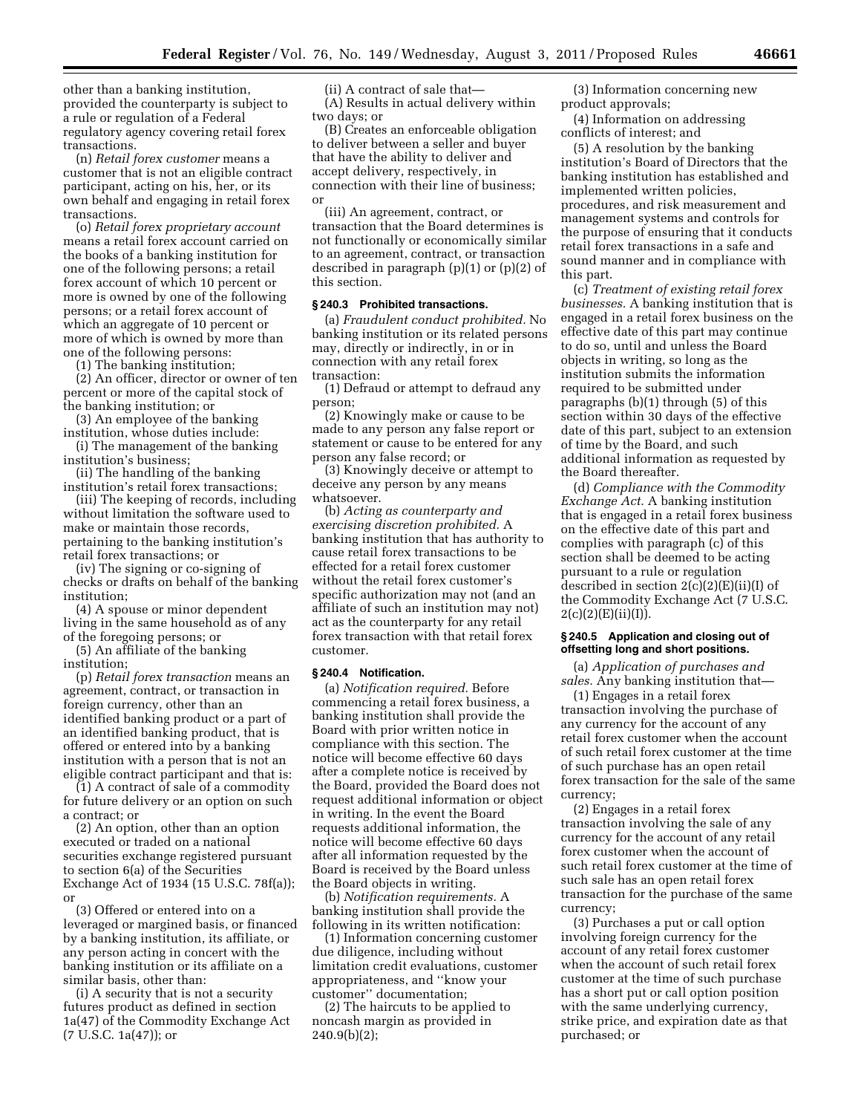other than a banking institution, provided the counterparty is subject to a rule or regulation of a Federal regulatory agency covering retail forex transactions.

(n) *Retail forex customer* means a customer that is not an eligible contract participant, acting on his, her, or its own behalf and engaging in retail forex transactions.

(o) *Retail forex proprietary account*  means a retail forex account carried on the books of a banking institution for one of the following persons; a retail forex account of which 10 percent or more is owned by one of the following persons; or a retail forex account of which an aggregate of 10 percent or more of which is owned by more than one of the following persons:

(1) The banking institution;

(2) An officer, director or owner of ten percent or more of the capital stock of the banking institution; or

(3) An employee of the banking institution, whose duties include:

(i) The management of the banking institution's business;

(ii) The handling of the banking institution's retail forex transactions;

(iii) The keeping of records, including without limitation the software used to make or maintain those records, pertaining to the banking institution's retail forex transactions; or

(iv) The signing or co-signing of checks or drafts on behalf of the banking institution;

(4) A spouse or minor dependent living in the same household as of any of the foregoing persons; or

(5) An affiliate of the banking institution;

(p) *Retail forex transaction* means an agreement, contract, or transaction in foreign currency, other than an identified banking product or a part of an identified banking product, that is offered or entered into by a banking institution with a person that is not an eligible contract participant and that is:

(1) A contract of sale of a commodity for future delivery or an option on such a contract; or

(2) An option, other than an option executed or traded on a national securities exchange registered pursuant to section 6(a) of the Securities Exchange Act of 1934 (15 U.S.C. 78f(a)); or

(3) Offered or entered into on a leveraged or margined basis, or financed by a banking institution, its affiliate, or any person acting in concert with the banking institution or its affiliate on a similar basis, other than:

(i) A security that is not a security futures product as defined in section 1a(47) of the Commodity Exchange Act (7 U.S.C. 1a(47)); or

(ii) A contract of sale that— (A) Results in actual delivery within two days; or

(B) Creates an enforceable obligation to deliver between a seller and buyer that have the ability to deliver and accept delivery, respectively, in connection with their line of business; or

(iii) An agreement, contract, or transaction that the Board determines is not functionally or economically similar to an agreement, contract, or transaction described in paragraph (p)(1) or (p)(2) of this section.

# **§ 240.3 Prohibited transactions.**

(a) *Fraudulent conduct prohibited.* No banking institution or its related persons may, directly or indirectly, in or in connection with any retail forex transaction:

(1) Defraud or attempt to defraud any person;

(2) Knowingly make or cause to be made to any person any false report or statement or cause to be entered for any person any false record; or

(3) Knowingly deceive or attempt to deceive any person by any means whatsoever.

(b) *Acting as counterparty and exercising discretion prohibited.* A banking institution that has authority to cause retail forex transactions to be effected for a retail forex customer without the retail forex customer's specific authorization may not (and an affiliate of such an institution may not) act as the counterparty for any retail forex transaction with that retail forex customer.

## **§ 240.4 Notification.**

(a) *Notification required.* Before commencing a retail forex business, a banking institution shall provide the Board with prior written notice in compliance with this section. The notice will become effective 60 days after a complete notice is received by the Board, provided the Board does not request additional information or object in writing. In the event the Board requests additional information, the notice will become effective 60 days after all information requested by the Board is received by the Board unless the Board objects in writing.

(b) *Notification requirements.* A banking institution shall provide the following in its written notification:

(1) Information concerning customer due diligence, including without limitation credit evaluations, customer appropriateness, and ''know your customer'' documentation;

(2) The haircuts to be applied to noncash margin as provided in 240.9(b)(2);

(3) Information concerning new product approvals;

(4) Information on addressing conflicts of interest; and

(5) A resolution by the banking institution's Board of Directors that the banking institution has established and implemented written policies, procedures, and risk measurement and management systems and controls for the purpose of ensuring that it conducts retail forex transactions in a safe and sound manner and in compliance with this part.

(c) *Treatment of existing retail forex businesses.* A banking institution that is engaged in a retail forex business on the effective date of this part may continue to do so, until and unless the Board objects in writing, so long as the institution submits the information required to be submitted under paragraphs (b)(1) through (5) of this section within 30 days of the effective date of this part, subject to an extension of time by the Board, and such additional information as requested by the Board thereafter.

(d) *Compliance with the Commodity Exchange Act.* A banking institution that is engaged in a retail forex business on the effective date of this part and complies with paragraph (c) of this section shall be deemed to be acting pursuant to a rule or regulation described in section  $2(c)(2)(E)(ii)(I)$  of the Commodity Exchange Act (7 U.S.C.  $2(c)(2)(E)(ii)(I)).$ 

### **§ 240.5 Application and closing out of offsetting long and short positions.**

(a) *Application of purchases and sales.* Any banking institution that—

(1) Engages in a retail forex transaction involving the purchase of any currency for the account of any retail forex customer when the account of such retail forex customer at the time of such purchase has an open retail forex transaction for the sale of the same currency;

(2) Engages in a retail forex transaction involving the sale of any currency for the account of any retail forex customer when the account of such retail forex customer at the time of such sale has an open retail forex transaction for the purchase of the same currency;

(3) Purchases a put or call option involving foreign currency for the account of any retail forex customer when the account of such retail forex customer at the time of such purchase has a short put or call option position with the same underlying currency, strike price, and expiration date as that purchased; or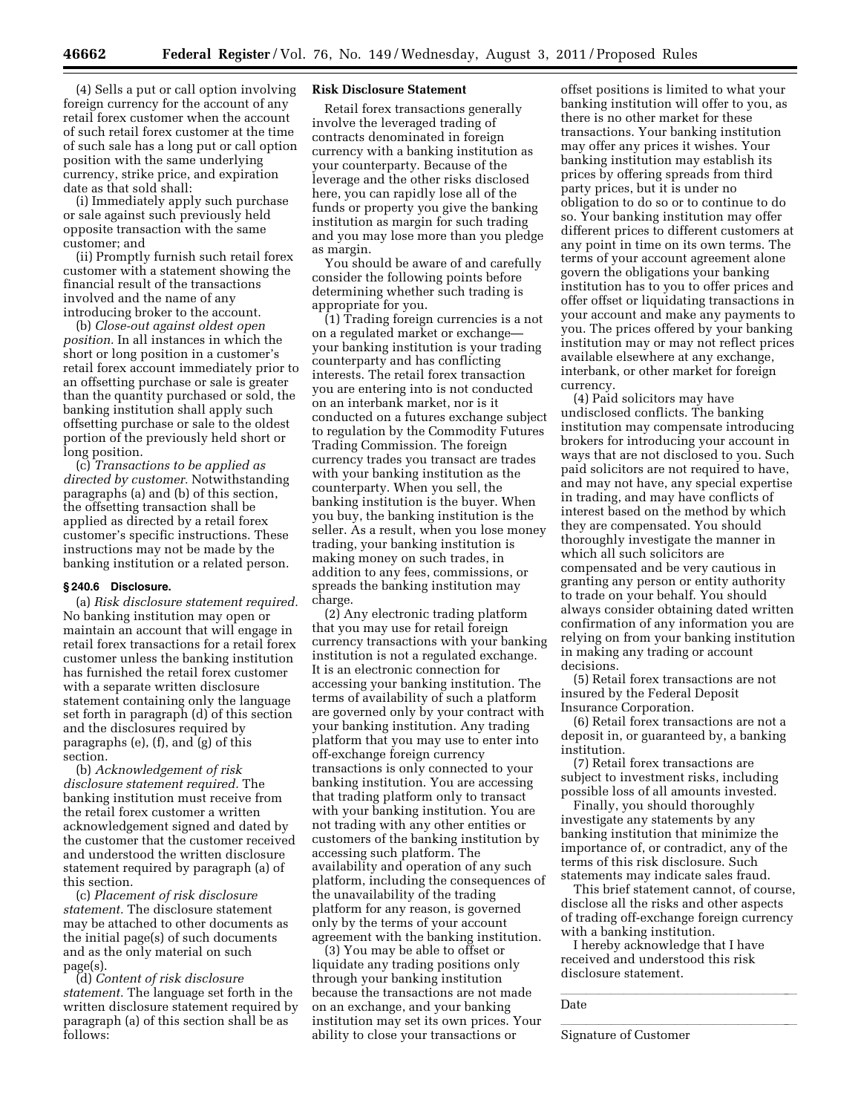(4) Sells a put or call option involving foreign currency for the account of any retail forex customer when the account of such retail forex customer at the time of such sale has a long put or call option position with the same underlying

date as that sold shall: (i) Immediately apply such purchase or sale against such previously held opposite transaction with the same customer; and

currency, strike price, and expiration

(ii) Promptly furnish such retail forex customer with a statement showing the financial result of the transactions involved and the name of any introducing broker to the account.

(b) *Close-out against oldest open position.* In all instances in which the short or long position in a customer's retail forex account immediately prior to an offsetting purchase or sale is greater than the quantity purchased or sold, the banking institution shall apply such offsetting purchase or sale to the oldest portion of the previously held short or long position.

(c) *Transactions to be applied as directed by customer.* Notwithstanding paragraphs (a) and (b) of this section, the offsetting transaction shall be applied as directed by a retail forex customer's specific instructions. These instructions may not be made by the banking institution or a related person.

## **§ 240.6 Disclosure.**

(a) *Risk disclosure statement required.*  No banking institution may open or maintain an account that will engage in retail forex transactions for a retail forex customer unless the banking institution has furnished the retail forex customer with a separate written disclosure statement containing only the language set forth in paragraph (d) of this section and the disclosures required by paragraphs (e), (f), and (g) of this section.

(b) *Acknowledgement of risk disclosure statement required.* The banking institution must receive from the retail forex customer a written acknowledgement signed and dated by the customer that the customer received and understood the written disclosure statement required by paragraph (a) of this section.

(c) *Placement of risk disclosure statement.* The disclosure statement may be attached to other documents as the initial page(s) of such documents and as the only material on such page(s).

(d) *Content of risk disclosure statement.* The language set forth in the written disclosure statement required by paragraph (a) of this section shall be as follows:

### **Risk Disclosure Statement**

Retail forex transactions generally involve the leveraged trading of contracts denominated in foreign currency with a banking institution as your counterparty. Because of the leverage and the other risks disclosed here, you can rapidly lose all of the funds or property you give the banking institution as margin for such trading and you may lose more than you pledge as margin.

You should be aware of and carefully consider the following points before determining whether such trading is appropriate for you.

(1) Trading foreign currencies is a not on a regulated market or exchange your banking institution is your trading counterparty and has conflicting interests. The retail forex transaction you are entering into is not conducted on an interbank market, nor is it conducted on a futures exchange subject to regulation by the Commodity Futures Trading Commission. The foreign currency trades you transact are trades with your banking institution as the counterparty. When you sell, the banking institution is the buyer. When you buy, the banking institution is the seller. As a result, when you lose money trading, your banking institution is making money on such trades, in addition to any fees, commissions, or spreads the banking institution may charge.

(2) Any electronic trading platform that you may use for retail foreign currency transactions with your banking institution is not a regulated exchange. It is an electronic connection for accessing your banking institution. The terms of availability of such a platform are governed only by your contract with your banking institution. Any trading platform that you may use to enter into off-exchange foreign currency transactions is only connected to your banking institution. You are accessing that trading platform only to transact with your banking institution. You are not trading with any other entities or customers of the banking institution by accessing such platform. The availability and operation of any such platform, including the consequences of the unavailability of the trading platform for any reason, is governed only by the terms of your account agreement with the banking institution.

(3) You may be able to offset or liquidate any trading positions only through your banking institution because the transactions are not made on an exchange, and your banking institution may set its own prices. Your ability to close your transactions or

offset positions is limited to what your banking institution will offer to you, as there is no other market for these transactions. Your banking institution may offer any prices it wishes. Your banking institution may establish its prices by offering spreads from third party prices, but it is under no obligation to do so or to continue to do so. Your banking institution may offer different prices to different customers at any point in time on its own terms. The terms of your account agreement alone govern the obligations your banking institution has to you to offer prices and offer offset or liquidating transactions in your account and make any payments to you. The prices offered by your banking institution may or may not reflect prices available elsewhere at any exchange, interbank, or other market for foreign currency.

(4) Paid solicitors may have undisclosed conflicts. The banking institution may compensate introducing brokers for introducing your account in ways that are not disclosed to you. Such paid solicitors are not required to have, and may not have, any special expertise in trading, and may have conflicts of interest based on the method by which they are compensated. You should thoroughly investigate the manner in which all such solicitors are compensated and be very cautious in granting any person or entity authority to trade on your behalf. You should always consider obtaining dated written confirmation of any information you are relying on from your banking institution in making any trading or account decisions.

(5) Retail forex transactions are not insured by the Federal Deposit Insurance Corporation.

(6) Retail forex transactions are not a deposit in, or guaranteed by, a banking institution.

(7) Retail forex transactions are subject to investment risks, including possible loss of all amounts invested.

Finally, you should thoroughly investigate any statements by any banking institution that minimize the importance of, or contradict, any of the terms of this risk disclosure. Such statements may indicate sales fraud.

This brief statement cannot, of course, disclose all the risks and other aspects of trading off-exchange foreign currency with a banking institution.

I hereby acknowledge that I have received and understood this risk disclosure statement.

**L**<br>Signature of Customer

 $\eta$ <sub>l</sub>led<sub>o</sub> Date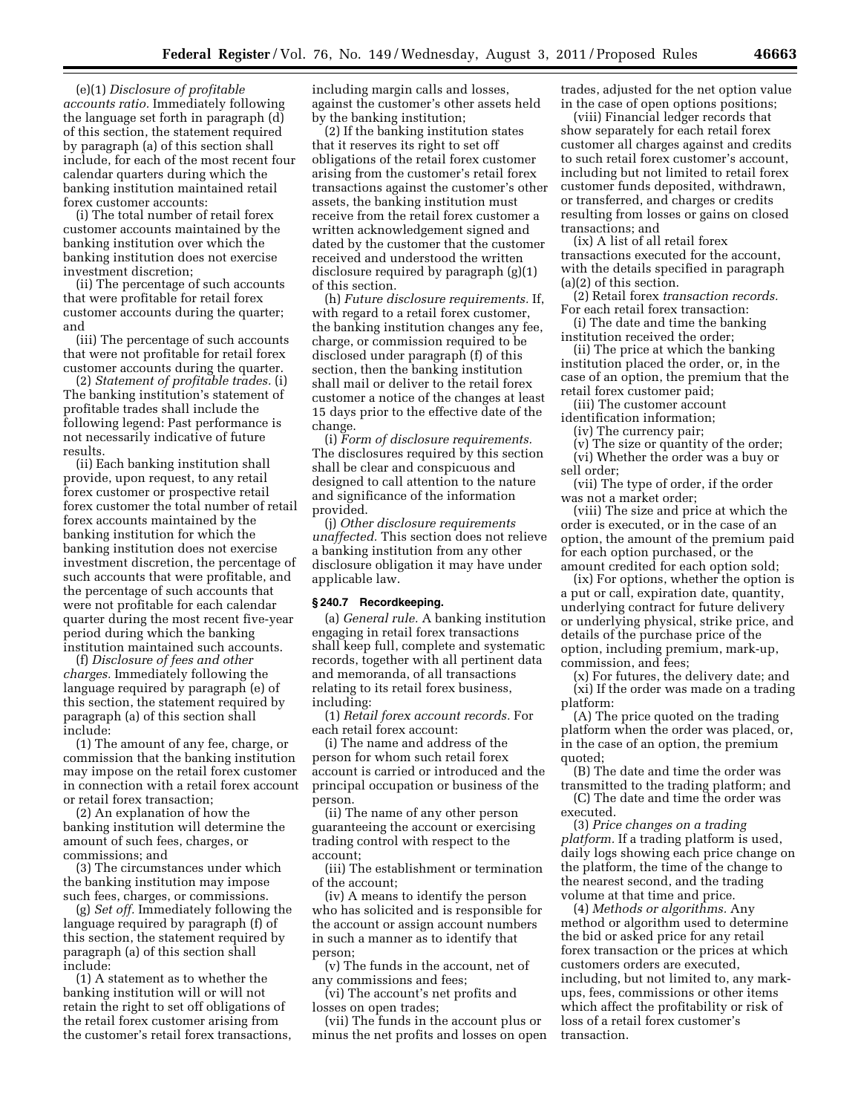(e)(1) *Disclosure of profitable accounts ratio.* Immediately following the language set forth in paragraph (d) of this section, the statement required by paragraph (a) of this section shall include, for each of the most recent four calendar quarters during which the banking institution maintained retail forex customer accounts:

(i) The total number of retail forex customer accounts maintained by the banking institution over which the banking institution does not exercise investment discretion;

(ii) The percentage of such accounts that were profitable for retail forex customer accounts during the quarter; and

(iii) The percentage of such accounts that were not profitable for retail forex customer accounts during the quarter.

(2) *Statement of profitable trades.* (i) The banking institution's statement of profitable trades shall include the following legend: Past performance is not necessarily indicative of future results.

(ii) Each banking institution shall provide, upon request, to any retail forex customer or prospective retail forex customer the total number of retail forex accounts maintained by the banking institution for which the banking institution does not exercise investment discretion, the percentage of such accounts that were profitable, and the percentage of such accounts that were not profitable for each calendar quarter during the most recent five-year period during which the banking institution maintained such accounts.

(f) *Disclosure of fees and other charges.* Immediately following the language required by paragraph (e) of this section, the statement required by paragraph (a) of this section shall include:

(1) The amount of any fee, charge, or commission that the banking institution may impose on the retail forex customer in connection with a retail forex account or retail forex transaction;

(2) An explanation of how the banking institution will determine the amount of such fees, charges, or commissions; and

(3) The circumstances under which the banking institution may impose such fees, charges, or commissions.

(g) *Set off.* Immediately following the language required by paragraph (f) of this section, the statement required by paragraph (a) of this section shall include:

(1) A statement as to whether the banking institution will or will not retain the right to set off obligations of the retail forex customer arising from the customer's retail forex transactions, including margin calls and losses, against the customer's other assets held by the banking institution;

(2) If the banking institution states that it reserves its right to set off obligations of the retail forex customer arising from the customer's retail forex transactions against the customer's other assets, the banking institution must receive from the retail forex customer a written acknowledgement signed and dated by the customer that the customer received and understood the written disclosure required by paragraph (g)(1) of this section.

(h) *Future disclosure requirements.* If, with regard to a retail forex customer, the banking institution changes any fee, charge, or commission required to be disclosed under paragraph (f) of this section, then the banking institution shall mail or deliver to the retail forex customer a notice of the changes at least 15 days prior to the effective date of the change.

(i) *Form of disclosure requirements.*  The disclosures required by this section shall be clear and conspicuous and designed to call attention to the nature and significance of the information provided.

(j) *Other disclosure requirements unaffected.* This section does not relieve a banking institution from any other disclosure obligation it may have under applicable law.

## **§ 240.7 Recordkeeping.**

(a) *General rule.* A banking institution engaging in retail forex transactions shall keep full, complete and systematic records, together with all pertinent data and memoranda, of all transactions relating to its retail forex business, including:

(1) *Retail forex account records.* For each retail forex account:

(i) The name and address of the person for whom such retail forex account is carried or introduced and the principal occupation or business of the person.

(ii) The name of any other person guaranteeing the account or exercising trading control with respect to the account;

(iii) The establishment or termination of the account;

(iv) A means to identify the person who has solicited and is responsible for the account or assign account numbers in such a manner as to identify that person;

(v) The funds in the account, net of any commissions and fees;

(vi) The account's net profits and losses on open trades;

(vii) The funds in the account plus or minus the net profits and losses on open trades, adjusted for the net option value in the case of open options positions;

(viii) Financial ledger records that show separately for each retail forex customer all charges against and credits to such retail forex customer's account, including but not limited to retail forex customer funds deposited, withdrawn, or transferred, and charges or credits resulting from losses or gains on closed transactions; and

(ix) A list of all retail forex transactions executed for the account, with the details specified in paragraph (a)(2) of this section.

(2) Retail forex *transaction records.*  For each retail forex transaction:

(i) The date and time the banking institution received the order;

(ii) The price at which the banking institution placed the order, or, in the case of an option, the premium that the retail forex customer paid;

(iii) The customer account identification information;

(iv) The currency pair;

(v) The size or quantity of the order;

(vi) Whether the order was a buy or

sell order;

(vii) The type of order, if the order was not a market order;

(viii) The size and price at which the order is executed, or in the case of an option, the amount of the premium paid for each option purchased, or the amount credited for each option sold;

(ix) For options, whether the option is a put or call, expiration date, quantity, underlying contract for future delivery or underlying physical, strike price, and details of the purchase price of the option, including premium, mark-up, commission, and fees;

(x) For futures, the delivery date; and (xi) If the order was made on a trading platform:

(A) The price quoted on the trading platform when the order was placed, or, in the case of an option, the premium quoted;

(B) The date and time the order was transmitted to the trading platform; and

(C) The date and time the order was executed.

(3) *Price changes on a trading platform.* If a trading platform is used, daily logs showing each price change on the platform, the time of the change to the nearest second, and the trading volume at that time and price.

(4) *Methods or algorithms.* Any method or algorithm used to determine the bid or asked price for any retail forex transaction or the prices at which customers orders are executed, including, but not limited to, any markups, fees, commissions or other items which affect the profitability or risk of loss of a retail forex customer's transaction.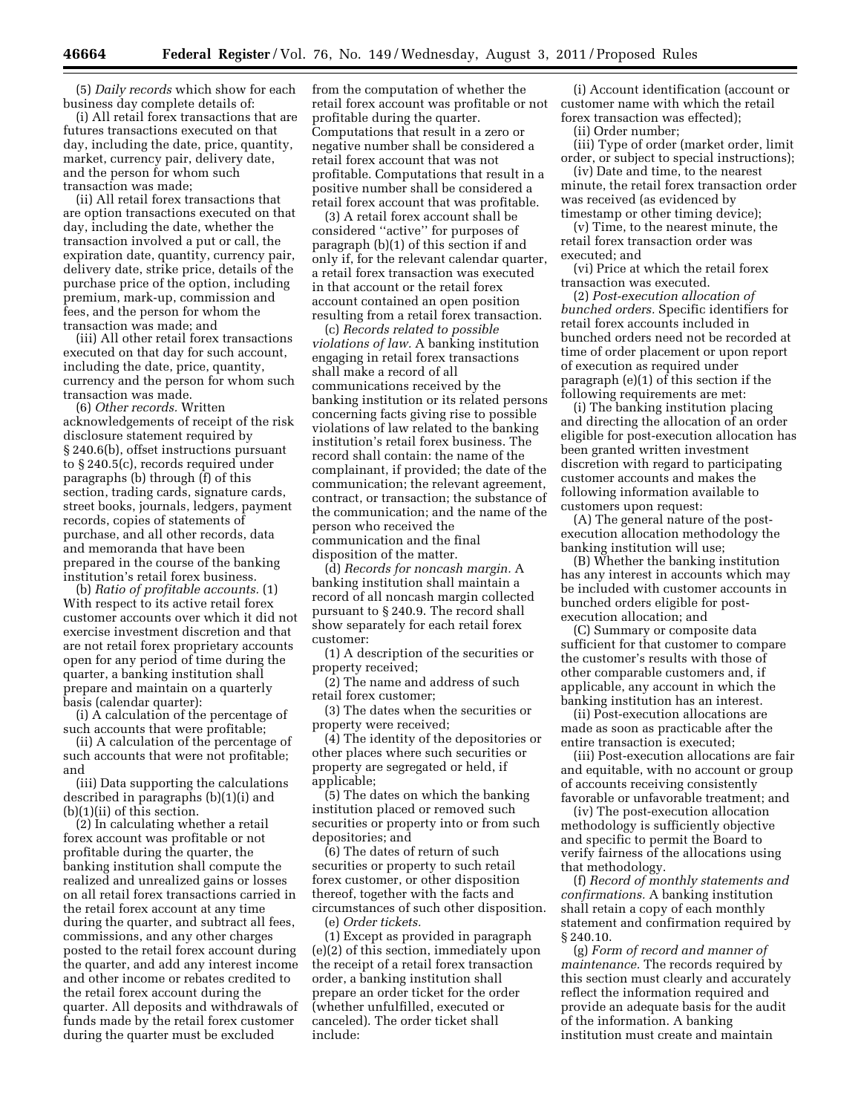(5) *Daily records* which show for each business day complete details of:

(i) All retail forex transactions that are futures transactions executed on that day, including the date, price, quantity, market, currency pair, delivery date, and the person for whom such transaction was made;

(ii) All retail forex transactions that are option transactions executed on that day, including the date, whether the transaction involved a put or call, the expiration date, quantity, currency pair, delivery date, strike price, details of the purchase price of the option, including premium, mark-up, commission and fees, and the person for whom the transaction was made; and

(iii) All other retail forex transactions executed on that day for such account, including the date, price, quantity, currency and the person for whom such transaction was made.

(6) *Other records.* Written acknowledgements of receipt of the risk disclosure statement required by § 240.6(b), offset instructions pursuant to § 240.5(c), records required under paragraphs (b) through (f) of this section, trading cards, signature cards, street books, journals, ledgers, payment records, copies of statements of purchase, and all other records, data and memoranda that have been prepared in the course of the banking institution's retail forex business.

(b) *Ratio of profitable accounts.* (1) With respect to its active retail forex customer accounts over which it did not exercise investment discretion and that are not retail forex proprietary accounts open for any period of time during the quarter, a banking institution shall prepare and maintain on a quarterly basis (calendar quarter):

(i) A calculation of the percentage of such accounts that were profitable;

(ii) A calculation of the percentage of such accounts that were not profitable; and

(iii) Data supporting the calculations described in paragraphs (b)(1)(i) and (b)(1)(ii) of this section.

(2) In calculating whether a retail forex account was profitable or not profitable during the quarter, the banking institution shall compute the realized and unrealized gains or losses on all retail forex transactions carried in the retail forex account at any time during the quarter, and subtract all fees, commissions, and any other charges posted to the retail forex account during the quarter, and add any interest income and other income or rebates credited to the retail forex account during the quarter. All deposits and withdrawals of funds made by the retail forex customer during the quarter must be excluded

from the computation of whether the retail forex account was profitable or not profitable during the quarter. Computations that result in a zero or negative number shall be considered a retail forex account that was not profitable. Computations that result in a positive number shall be considered a retail forex account that was profitable.

(3) A retail forex account shall be considered ''active'' for purposes of paragraph (b)(1) of this section if and only if, for the relevant calendar quarter, a retail forex transaction was executed in that account or the retail forex account contained an open position resulting from a retail forex transaction.

(c) *Records related to possible violations of law.* A banking institution engaging in retail forex transactions shall make a record of all communications received by the banking institution or its related persons concerning facts giving rise to possible violations of law related to the banking institution's retail forex business. The record shall contain: the name of the complainant, if provided; the date of the communication; the relevant agreement, contract, or transaction; the substance of the communication; and the name of the person who received the communication and the final disposition of the matter.

(d) *Records for noncash margin.* A banking institution shall maintain a record of all noncash margin collected pursuant to § 240.9. The record shall show separately for each retail forex customer:

(1) A description of the securities or property received;

(2) The name and address of such retail forex customer;

(3) The dates when the securities or property were received;

(4) The identity of the depositories or other places where such securities or property are segregated or held, if applicable;

(5) The dates on which the banking institution placed or removed such securities or property into or from such depositories; and

(6) The dates of return of such securities or property to such retail forex customer, or other disposition thereof, together with the facts and circumstances of such other disposition.

(e) *Order tickets.* 

(1) Except as provided in paragraph (e)(2) of this section, immediately upon the receipt of a retail forex transaction order, a banking institution shall prepare an order ticket for the order (whether unfulfilled, executed or canceled). The order ticket shall include:

(i) Account identification (account or customer name with which the retail forex transaction was effected);

(ii) Order number;

(iii) Type of order (market order, limit order, or subject to special instructions);

(iv) Date and time, to the nearest minute, the retail forex transaction order was received (as evidenced by timestamp or other timing device);

(v) Time, to the nearest minute, the retail forex transaction order was executed; and

(vi) Price at which the retail forex transaction was executed.

(2) *Post-execution allocation of bunched orders.* Specific identifiers for retail forex accounts included in bunched orders need not be recorded at time of order placement or upon report of execution as required under paragraph (e)(1) of this section if the following requirements are met:

(i) The banking institution placing and directing the allocation of an order eligible for post-execution allocation has been granted written investment discretion with regard to participating customer accounts and makes the following information available to customers upon request:

(A) The general nature of the postexecution allocation methodology the banking institution will use;

(B) Whether the banking institution has any interest in accounts which may be included with customer accounts in bunched orders eligible for postexecution allocation; and

(C) Summary or composite data sufficient for that customer to compare the customer's results with those of other comparable customers and, if applicable, any account in which the banking institution has an interest.

(ii) Post-execution allocations are made as soon as practicable after the entire transaction is executed;

(iii) Post-execution allocations are fair and equitable, with no account or group of accounts receiving consistently favorable or unfavorable treatment; and

(iv) The post-execution allocation methodology is sufficiently objective and specific to permit the Board to verify fairness of the allocations using that methodology.

(f) *Record of monthly statements and confirmations.* A banking institution shall retain a copy of each monthly statement and confirmation required by § 240.10.

(g) *Form of record and manner of maintenance.* The records required by this section must clearly and accurately reflect the information required and provide an adequate basis for the audit of the information. A banking institution must create and maintain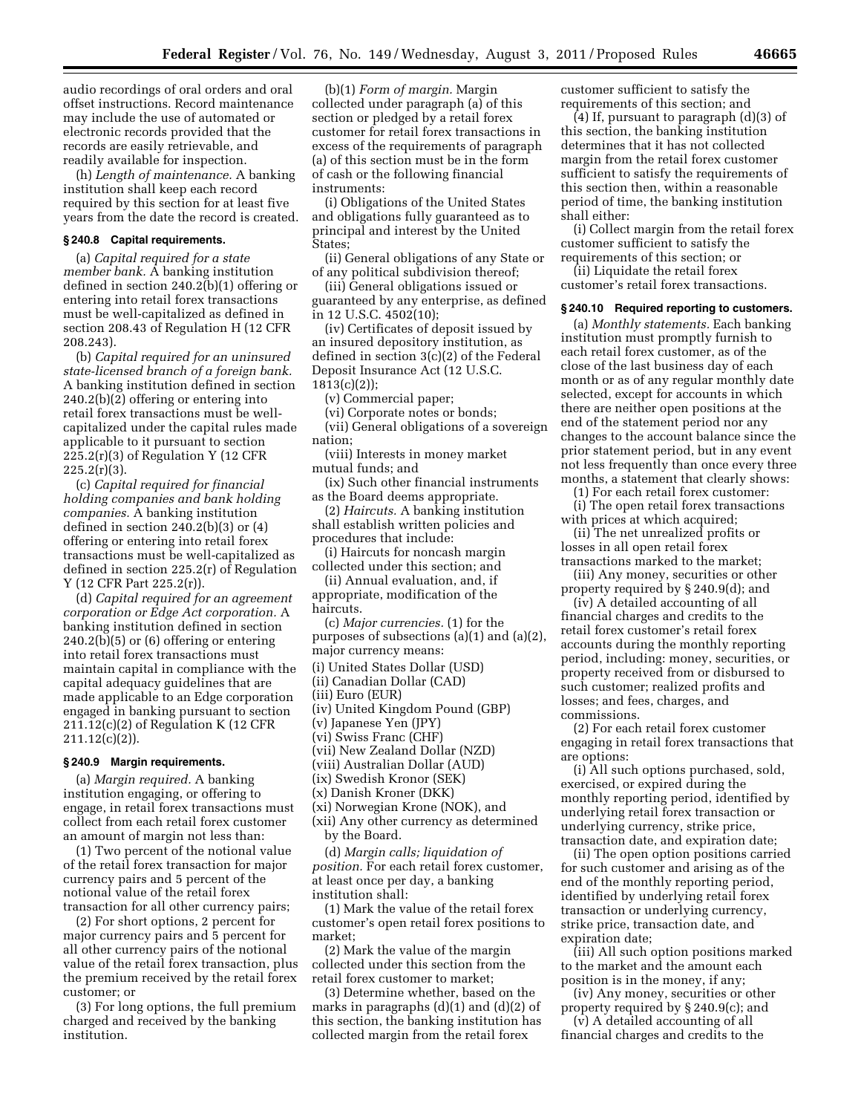audio recordings of oral orders and oral offset instructions. Record maintenance may include the use of automated or electronic records provided that the records are easily retrievable, and readily available for inspection.

(h) *Length of maintenance.* A banking institution shall keep each record required by this section for at least five years from the date the record is created.

### **§ 240.8 Capital requirements.**

(a) *Capital required for a state member bank.* A banking institution defined in section 240.2(b)(1) offering or entering into retail forex transactions must be well-capitalized as defined in section 208.43 of Regulation H (12 CFR 208.243).

(b) *Capital required for an uninsured state-licensed branch of a foreign bank.*  A banking institution defined in section 240.2(b)(2) offering or entering into retail forex transactions must be wellcapitalized under the capital rules made applicable to it pursuant to section  $225.2(r)(3)$  of Regulation Y (12 CFR  $225.2(r)(3)$ .

(c) *Capital required for financial holding companies and bank holding companies.* A banking institution defined in section 240.2(b)(3) or (4) offering or entering into retail forex transactions must be well-capitalized as defined in section 225.2(r) of Regulation Y (12 CFR Part 225.2(r)).

(d) *Capital required for an agreement corporation or Edge Act corporation.* A banking institution defined in section 240.2(b)(5) or (6) offering or entering into retail forex transactions must maintain capital in compliance with the capital adequacy guidelines that are made applicable to an Edge corporation engaged in banking pursuant to section  $211.12(c)(2)$  of Regulation K (12 CFR 211.12(c)(2)).

#### **§ 240.9 Margin requirements.**

(a) *Margin required.* A banking institution engaging, or offering to engage, in retail forex transactions must collect from each retail forex customer an amount of margin not less than:

(1) Two percent of the notional value of the retail forex transaction for major currency pairs and 5 percent of the notional value of the retail forex transaction for all other currency pairs;

(2) For short options, 2 percent for major currency pairs and 5 percent for all other currency pairs of the notional value of the retail forex transaction, plus the premium received by the retail forex customer; or

(3) For long options, the full premium charged and received by the banking institution.

(b)(1) *Form of margin.* Margin collected under paragraph (a) of this section or pledged by a retail forex customer for retail forex transactions in excess of the requirements of paragraph (a) of this section must be in the form of cash or the following financial instruments:

(i) Obligations of the United States and obligations fully guaranteed as to principal and interest by the United States;

(ii) General obligations of any State or of any political subdivision thereof;

(iii) General obligations issued or guaranteed by any enterprise, as defined in 12 U.S.C. 4502(10);

(iv) Certificates of deposit issued by an insured depository institution, as defined in section 3(c)(2) of the Federal Deposit Insurance Act (12 U.S.C. 1813(c)(2));

(v) Commercial paper;

(vi) Corporate notes or bonds;

(vii) General obligations of a sovereign nation;

(viii) Interests in money market mutual funds; and

(ix) Such other financial instruments as the Board deems appropriate.

(2) *Haircuts.* A banking institution shall establish written policies and procedures that include:

(i) Haircuts for noncash margin collected under this section; and

(ii) Annual evaluation, and, if appropriate, modification of the haircuts.

(c) *Major currencies.* (1) for the purposes of subsections (a)(1) and (a)(2),

major currency means:

(i) United States Dollar (USD)

(ii) Canadian Dollar (CAD)

(iii) Euro (EUR)

(iv) United Kingdom Pound (GBP)

(v) Japanese Yen (JPY)

(vi) Swiss Franc (CHF)

(vii) New Zealand Dollar (NZD)

(viii) Australian Dollar (AUD)

(ix) Swedish Kronor (SEK)

(x) Danish Kroner (DKK)

(xi) Norwegian Krone (NOK), and (xii) Any other currency as determined

by the Board.

(d) *Margin calls; liquidation of position.* For each retail forex customer, at least once per day, a banking institution shall:

(1) Mark the value of the retail forex customer's open retail forex positions to market;

(2) Mark the value of the margin collected under this section from the retail forex customer to market;

(3) Determine whether, based on the marks in paragraphs  $(d)(1)$  and  $(d)(2)$  of this section, the banking institution has collected margin from the retail forex

customer sufficient to satisfy the requirements of this section; and

(4) If, pursuant to paragraph (d)(3) of this section, the banking institution determines that it has not collected margin from the retail forex customer sufficient to satisfy the requirements of this section then, within a reasonable period of time, the banking institution shall either:

(i) Collect margin from the retail forex customer sufficient to satisfy the requirements of this section; or

(ii) Liquidate the retail forex customer's retail forex transactions.

#### **§ 240.10 Required reporting to customers.**

(a) *Monthly statements.* Each banking institution must promptly furnish to each retail forex customer, as of the close of the last business day of each month or as of any regular monthly date selected, except for accounts in which there are neither open positions at the end of the statement period nor any changes to the account balance since the prior statement period, but in any event not less frequently than once every three months, a statement that clearly shows:

(1) For each retail forex customer:

(i) The open retail forex transactions with prices at which acquired;

(ii) The net unrealized profits or losses in all open retail forex transactions marked to the market;

(iii) Any money, securities or other property required by § 240.9(d); and

(iv) A detailed accounting of all financial charges and credits to the retail forex customer's retail forex accounts during the monthly reporting period, including: money, securities, or property received from or disbursed to such customer; realized profits and losses; and fees, charges, and commissions.

(2) For each retail forex customer engaging in retail forex transactions that are options:

(i) All such options purchased, sold, exercised, or expired during the monthly reporting period, identified by underlying retail forex transaction or underlying currency, strike price, transaction date, and expiration date;

(ii) The open option positions carried for such customer and arising as of the end of the monthly reporting period, identified by underlying retail forex transaction or underlying currency, strike price, transaction date, and expiration date;

(iii) All such option positions marked to the market and the amount each position is in the money, if any;

(iv) Any money, securities or other property required by § 240.9(c); and

(v) A detailed accounting of all financial charges and credits to the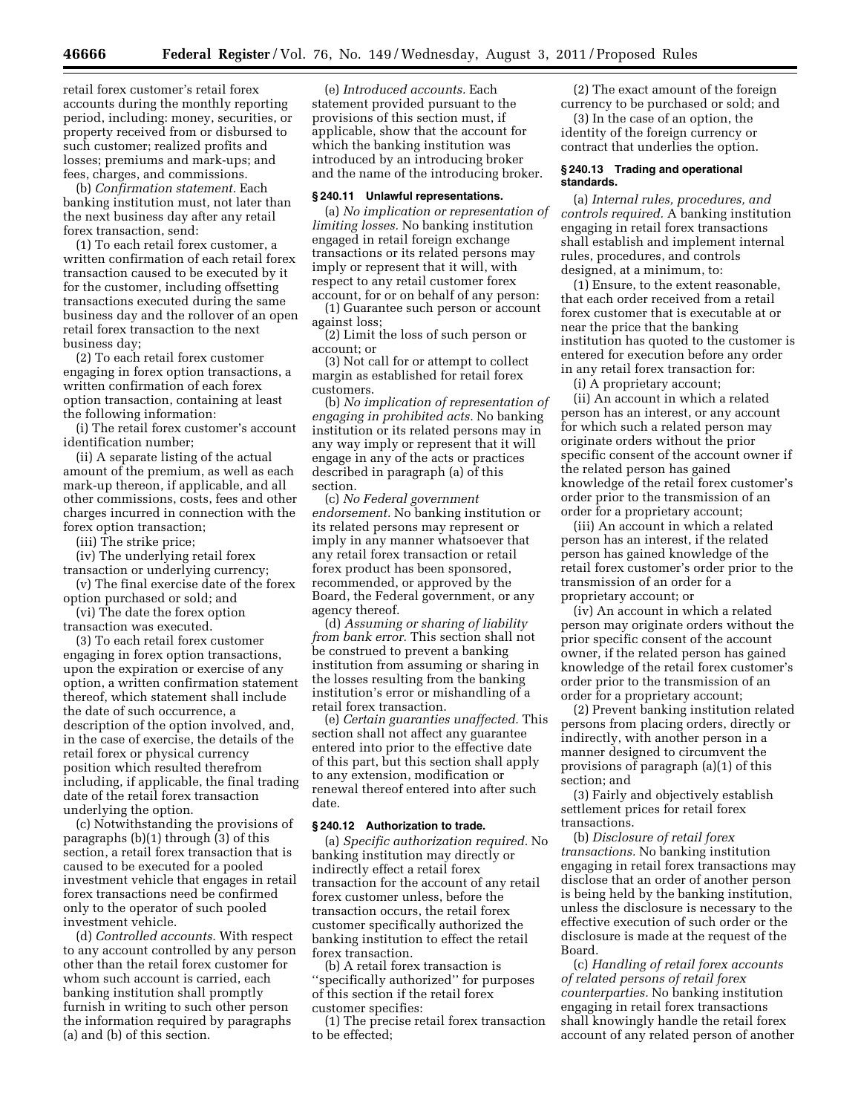retail forex customer's retail forex accounts during the monthly reporting period, including: money, securities, or property received from or disbursed to such customer; realized profits and losses; premiums and mark-ups; and fees, charges, and commissions.

(b) *Confirmation statement.* Each banking institution must, not later than the next business day after any retail forex transaction, send:

(1) To each retail forex customer, a written confirmation of each retail forex transaction caused to be executed by it for the customer, including offsetting transactions executed during the same business day and the rollover of an open retail forex transaction to the next business day;

(2) To each retail forex customer engaging in forex option transactions, a written confirmation of each forex option transaction, containing at least the following information:

(i) The retail forex customer's account identification number;

(ii) A separate listing of the actual amount of the premium, as well as each mark-up thereon, if applicable, and all other commissions, costs, fees and other charges incurred in connection with the forex option transaction;

(iii) The strike price;

(iv) The underlying retail forex transaction or underlying currency;

(v) The final exercise date of the forex option purchased or sold; and

(vi) The date the forex option transaction was executed.

(3) To each retail forex customer engaging in forex option transactions, upon the expiration or exercise of any option, a written confirmation statement thereof, which statement shall include the date of such occurrence, a description of the option involved, and, in the case of exercise, the details of the retail forex or physical currency position which resulted therefrom including, if applicable, the final trading date of the retail forex transaction underlying the option.

(c) Notwithstanding the provisions of paragraphs (b)(1) through (3) of this section, a retail forex transaction that is caused to be executed for a pooled investment vehicle that engages in retail forex transactions need be confirmed only to the operator of such pooled investment vehicle.

(d) *Controlled accounts.* With respect to any account controlled by any person other than the retail forex customer for whom such account is carried, each banking institution shall promptly furnish in writing to such other person the information required by paragraphs (a) and (b) of this section.

(e) *Introduced accounts.* Each statement provided pursuant to the provisions of this section must, if applicable, show that the account for which the banking institution was introduced by an introducing broker and the name of the introducing broker.

#### **§ 240.11 Unlawful representations.**

(a) *No implication or representation of limiting losses.* No banking institution engaged in retail foreign exchange transactions or its related persons may imply or represent that it will, with respect to any retail customer forex account, for or on behalf of any person:

(1) Guarantee such person or account against loss;

(2) Limit the loss of such person or account; or

(3) Not call for or attempt to collect margin as established for retail forex customers.

(b) *No implication of representation of engaging in prohibited acts.* No banking institution or its related persons may in any way imply or represent that it will engage in any of the acts or practices described in paragraph (a) of this section.

(c) *No Federal government endorsement.* No banking institution or its related persons may represent or imply in any manner whatsoever that any retail forex transaction or retail forex product has been sponsored, recommended, or approved by the Board, the Federal government, or any agency thereof.

(d) *Assuming or sharing of liability from bank error.* This section shall not be construed to prevent a banking institution from assuming or sharing in the losses resulting from the banking institution's error or mishandling of a retail forex transaction.

(e) *Certain guaranties unaffected.* This section shall not affect any guarantee entered into prior to the effective date of this part, but this section shall apply to any extension, modification or renewal thereof entered into after such date.

# **§ 240.12 Authorization to trade.**

(a) *Specific authorization required.* No banking institution may directly or indirectly effect a retail forex transaction for the account of any retail forex customer unless, before the transaction occurs, the retail forex customer specifically authorized the banking institution to effect the retail forex transaction.

(b) A retail forex transaction is ''specifically authorized'' for purposes of this section if the retail forex customer specifies:

(1) The precise retail forex transaction to be effected;

(2) The exact amount of the foreign currency to be purchased or sold; and

(3) In the case of an option, the identity of the foreign currency or contract that underlies the option.

# **§ 240.13 Trading and operational standards.**

(a) *Internal rules, procedures, and controls required.* A banking institution engaging in retail forex transactions shall establish and implement internal rules, procedures, and controls designed, at a minimum, to:

(1) Ensure, to the extent reasonable, that each order received from a retail forex customer that is executable at or near the price that the banking institution has quoted to the customer is entered for execution before any order in any retail forex transaction for:

(i) A proprietary account;

(ii) An account in which a related person has an interest, or any account for which such a related person may originate orders without the prior specific consent of the account owner if the related person has gained knowledge of the retail forex customer's order prior to the transmission of an order for a proprietary account;

(iii) An account in which a related person has an interest, if the related person has gained knowledge of the retail forex customer's order prior to the transmission of an order for a proprietary account; or

(iv) An account in which a related person may originate orders without the prior specific consent of the account owner, if the related person has gained knowledge of the retail forex customer's order prior to the transmission of an order for a proprietary account;

(2) Prevent banking institution related persons from placing orders, directly or indirectly, with another person in a manner designed to circumvent the provisions of paragraph (a)(1) of this section; and

(3) Fairly and objectively establish settlement prices for retail forex transactions.

(b) *Disclosure of retail forex transactions.* No banking institution engaging in retail forex transactions may disclose that an order of another person is being held by the banking institution, unless the disclosure is necessary to the effective execution of such order or the disclosure is made at the request of the Board.

(c) *Handling of retail forex accounts of related persons of retail forex counterparties.* No banking institution engaging in retail forex transactions shall knowingly handle the retail forex account of any related person of another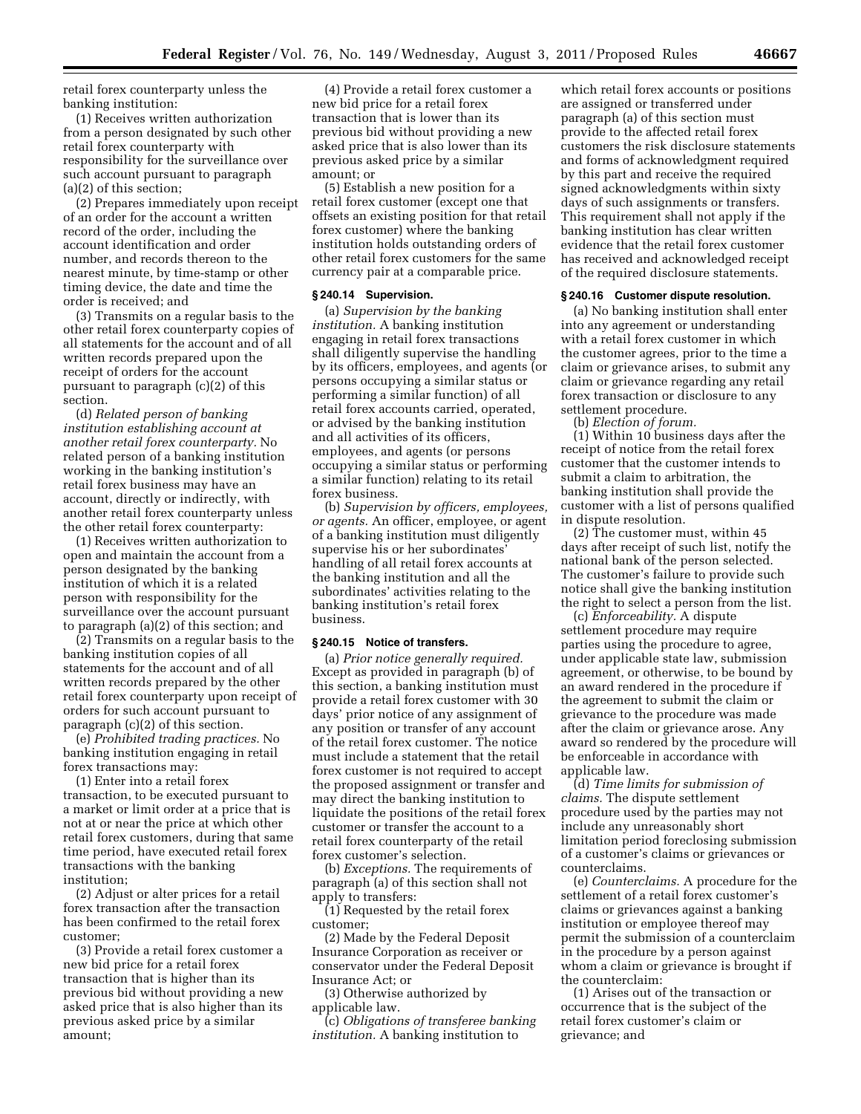retail forex counterparty unless the banking institution:

(1) Receives written authorization from a person designated by such other retail forex counterparty with responsibility for the surveillance over such account pursuant to paragraph (a)(2) of this section;

(2) Prepares immediately upon receipt of an order for the account a written record of the order, including the account identification and order number, and records thereon to the nearest minute, by time-stamp or other timing device, the date and time the order is received; and

(3) Transmits on a regular basis to the other retail forex counterparty copies of all statements for the account and of all written records prepared upon the receipt of orders for the account pursuant to paragraph (c)(2) of this section.

(d) *Related person of banking institution establishing account at another retail forex counterparty.* No related person of a banking institution working in the banking institution's retail forex business may have an account, directly or indirectly, with another retail forex counterparty unless the other retail forex counterparty:

(1) Receives written authorization to open and maintain the account from a person designated by the banking institution of which it is a related person with responsibility for the surveillance over the account pursuant to paragraph (a)(2) of this section; and

(2) Transmits on a regular basis to the banking institution copies of all statements for the account and of all written records prepared by the other retail forex counterparty upon receipt of orders for such account pursuant to paragraph (c)(2) of this section.

(e) *Prohibited trading practices.* No banking institution engaging in retail forex transactions may:

(1) Enter into a retail forex transaction, to be executed pursuant to a market or limit order at a price that is not at or near the price at which other retail forex customers, during that same time period, have executed retail forex transactions with the banking institution;

(2) Adjust or alter prices for a retail forex transaction after the transaction has been confirmed to the retail forex customer;

(3) Provide a retail forex customer a new bid price for a retail forex transaction that is higher than its previous bid without providing a new asked price that is also higher than its previous asked price by a similar amount;

(4) Provide a retail forex customer a new bid price for a retail forex transaction that is lower than its previous bid without providing a new asked price that is also lower than its previous asked price by a similar amount; or

(5) Establish a new position for a retail forex customer (except one that offsets an existing position for that retail forex customer) where the banking institution holds outstanding orders of other retail forex customers for the same currency pair at a comparable price.

### **§ 240.14 Supervision.**

(a) *Supervision by the banking institution.* A banking institution engaging in retail forex transactions shall diligently supervise the handling by its officers, employees, and agents (or persons occupying a similar status or performing a similar function) of all retail forex accounts carried, operated, or advised by the banking institution and all activities of its officers, employees, and agents (or persons occupying a similar status or performing a similar function) relating to its retail forex business.

(b) *Supervision by officers, employees, or agents.* An officer, employee, or agent of a banking institution must diligently supervise his or her subordinates' handling of all retail forex accounts at the banking institution and all the subordinates' activities relating to the banking institution's retail forex business.

### **§ 240.15 Notice of transfers.**

(a) *Prior notice generally required.*  Except as provided in paragraph (b) of this section, a banking institution must provide a retail forex customer with 30 days' prior notice of any assignment of any position or transfer of any account of the retail forex customer. The notice must include a statement that the retail forex customer is not required to accept the proposed assignment or transfer and may direct the banking institution to liquidate the positions of the retail forex customer or transfer the account to a retail forex counterparty of the retail forex customer's selection.

(b) *Exceptions.* The requirements of paragraph (a) of this section shall not apply to transfers:

(1) Requested by the retail forex customer;

(2) Made by the Federal Deposit Insurance Corporation as receiver or conservator under the Federal Deposit Insurance Act; or

(3) Otherwise authorized by applicable law.

(c) *Obligations of transferee banking institution.* A banking institution to

which retail forex accounts or positions are assigned or transferred under paragraph (a) of this section must provide to the affected retail forex customers the risk disclosure statements and forms of acknowledgment required by this part and receive the required signed acknowledgments within sixty days of such assignments or transfers. This requirement shall not apply if the banking institution has clear written evidence that the retail forex customer has received and acknowledged receipt of the required disclosure statements.

#### **§ 240.16 Customer dispute resolution.**

(a) No banking institution shall enter into any agreement or understanding with a retail forex customer in which the customer agrees, prior to the time a claim or grievance arises, to submit any claim or grievance regarding any retail forex transaction or disclosure to any settlement procedure.

(b) *Election of forum.* 

(1) Within 10 business days after the receipt of notice from the retail forex customer that the customer intends to submit a claim to arbitration, the banking institution shall provide the customer with a list of persons qualified in dispute resolution.

(2) The customer must, within 45 days after receipt of such list, notify the national bank of the person selected. The customer's failure to provide such notice shall give the banking institution the right to select a person from the list.

(c) *Enforceability.* A dispute settlement procedure may require parties using the procedure to agree, under applicable state law, submission agreement, or otherwise, to be bound by an award rendered in the procedure if the agreement to submit the claim or grievance to the procedure was made after the claim or grievance arose. Any award so rendered by the procedure will be enforceable in accordance with applicable law.

(d) *Time limits for submission of claims.* The dispute settlement procedure used by the parties may not include any unreasonably short limitation period foreclosing submission of a customer's claims or grievances or counterclaims.

(e) *Counterclaims.* A procedure for the settlement of a retail forex customer's claims or grievances against a banking institution or employee thereof may permit the submission of a counterclaim in the procedure by a person against whom a claim or grievance is brought if the counterclaim:

(1) Arises out of the transaction or occurrence that is the subject of the retail forex customer's claim or grievance; and